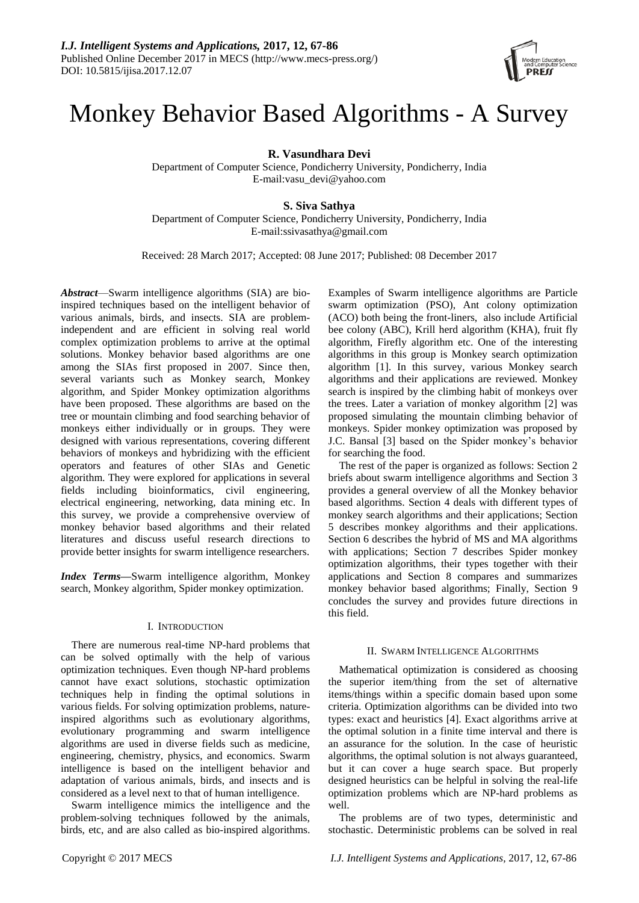# Monkey Behavior Based Algorithms - A Survey

**R. Vasundhara Devi**

Department of Computer Science, Pondicherry University, Pondicherry, India E-mail:vasu\_devi@yahoo.com

# **S. Siva Sathya**

Department of Computer Science, Pondicherry University, Pondicherry, India E-mail:ssivasathya@gmail.com

Received: 28 March 2017; Accepted: 08 June 2017; Published: 08 December 2017

*Abstract*—Swarm intelligence algorithms (SIA) are bioinspired techniques based on the intelligent behavior of various animals, birds, and insects. SIA are problemindependent and are efficient in solving real world complex optimization problems to arrive at the optimal solutions. Monkey behavior based algorithms are one among the SIAs first proposed in 2007. Since then, several variants such as Monkey search, Monkey algorithm, and Spider Monkey optimization algorithms have been proposed. These algorithms are based on the tree or mountain climbing and food searching behavior of monkeys either individually or in groups. They were designed with various representations, covering different behaviors of monkeys and hybridizing with the efficient operators and features of other SIAs and Genetic algorithm. They were explored for applications in several fields including bioinformatics, civil engineering, electrical engineering, networking, data mining etc. In this survey, we provide a comprehensive overview of monkey behavior based algorithms and their related literatures and discuss useful research directions to provide better insights for swarm intelligence researchers.

*Index Terms***—**Swarm intelligence algorithm, Monkey search, Monkey algorithm, Spider monkey optimization.

# I. INTRODUCTION

There are numerous real-time NP-hard problems that can be solved optimally with the help of various optimization techniques. Even though NP-hard problems cannot have exact solutions, stochastic optimization techniques help in finding the optimal solutions in various fields. For solving optimization problems, natureinspired algorithms such as evolutionary algorithms, evolutionary programming and swarm intelligence algorithms are used in diverse fields such as medicine, engineering, chemistry, physics, and economics. Swarm intelligence is based on the intelligent behavior and adaptation of various animals, birds, and insects and is considered as a level next to that of human intelligence.

Swarm intelligence mimics the intelligence and the problem-solving techniques followed by the animals, birds, etc, and are also called as bio-inspired algorithms. Examples of Swarm intelligence algorithms are Particle swarm optimization (PSO), Ant colony optimization (ACO) both being the front-liners, also include Artificial bee colony (ABC), Krill herd algorithm (KHA), fruit fly algorithm, Firefly algorithm etc. One of the interesting algorithms in this group is Monkey search optimization algorithm [1]. In this survey, various Monkey search algorithms and their applications are reviewed. Monkey search is inspired by the climbing habit of monkeys over the trees. Later a variation of monkey algorithm [2] was proposed simulating the mountain climbing behavior of monkeys. Spider monkey optimization was proposed by J.C. Bansal [3] based on the Spider monkey's behavior for searching the food.

The rest of the paper is organized as follows: Section 2 briefs about swarm intelligence algorithms and Section 3 provides a general overview of all the Monkey behavior based algorithms. Section 4 deals with different types of monkey search algorithms and their applications; Section 5 describes monkey algorithms and their applications. Section 6 describes the hybrid of MS and MA algorithms with applications; Section 7 describes Spider monkey optimization algorithms, their types together with their applications and Section 8 compares and summarizes monkey behavior based algorithms; Finally, Section 9 concludes the survey and provides future directions in this field.

# II. SWARM INTELLIGENCE ALGORITHMS

Mathematical optimization is considered as choosing the superior item/thing from the set of alternative items/things within a specific domain based upon some criteria. Optimization algorithms can be divided into two types: exact and heuristics [4]. Exact algorithms arrive at the optimal solution in a finite time interval and there is an assurance for the solution. In the case of heuristic algorithms, the optimal solution is not always guaranteed, but it can cover a huge search space. But properly designed heuristics can be helpful in solving the real-life optimization problems which are NP-hard problems as well.

The problems are of two types, deterministic and stochastic. Deterministic problems can be solved in real

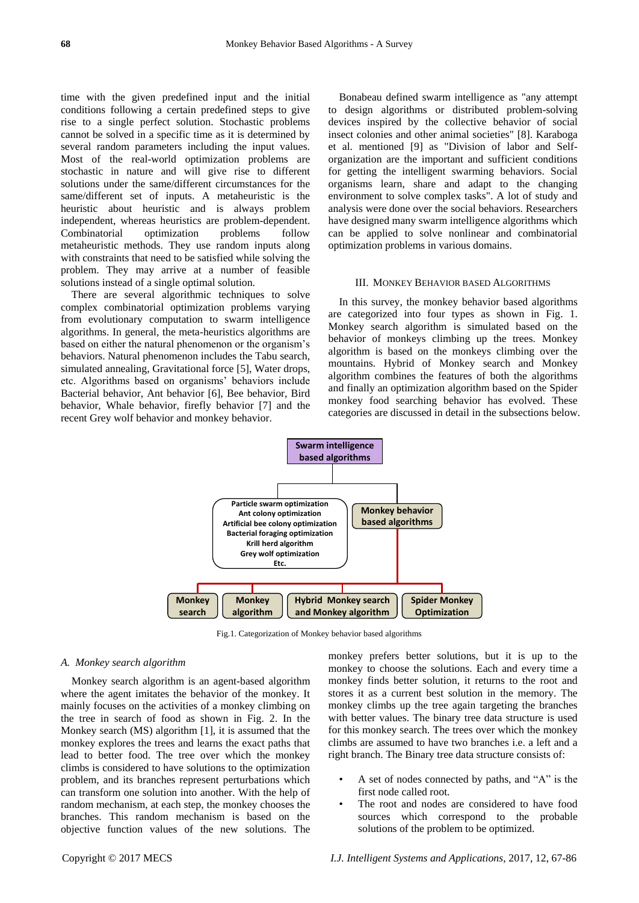time with the given predefined input and the initial conditions following a certain predefined steps to give rise to a single perfect solution. Stochastic problems cannot be solved in a specific time as it is determined by several random parameters including the input values. Most of the real-world optimization problems are stochastic in nature and will give rise to different solutions under the same/different circumstances for the same/different set of inputs. A metaheuristic is the heuristic about heuristic and is always problem independent, whereas heuristics are problem-dependent. Combinatorial optimization problems follow metaheuristic methods. They use random inputs along with constraints that need to be satisfied while solving the problem. They may arrive at a number of feasible solutions instead of a single optimal solution.

There are several algorithmic techniques to solve complex combinatorial optimization problems varying from evolutionary computation to swarm intelligence algorithms. In general, the meta-heuristics algorithms are based on either the natural phenomenon or the organism's behaviors. Natural phenomenon includes the Tabu search, simulated annealing, Gravitational force [5], Water drops, etc. Algorithms based on organisms' behaviors include Bacterial behavior, Ant behavior [6], Bee behavior, Bird behavior, Whale behavior, firefly behavior [7] and the recent Grey wolf behavior and monkey behavior.

Bonabeau defined swarm intelligence as "any attempt to design algorithms or distributed problem-solving devices inspired by the collective behavior of social insect colonies and other animal societies" [8]. Karaboga et al. mentioned [9] as "Division of labor and Selforganization are the important and sufficient conditions for getting the intelligent swarming behaviors. Social organisms learn, share and adapt to the changing environment to solve complex tasks". A lot of study and analysis were done over the social behaviors. Researchers have designed many swarm intelligence algorithms which can be applied to solve nonlinear and combinatorial optimization problems in various domains.

#### III. MONKEY BEHAVIOR BASED ALGORITHMS

In this survey, the monkey behavior based algorithms are categorized into four types as shown in Fig. 1. Monkey search algorithm is simulated based on the behavior of monkeys climbing up the trees. Monkey algorithm is based on the monkeys climbing over the mountains. Hybrid of Monkey search and Monkey algorithm combines the features of both the algorithms and finally an optimization algorithm based on the Spider monkey food searching behavior has evolved. These categories are discussed in detail in the subsections below.



Fig.1. Categorization of Monkey behavior based algorithms

# *A. Monkey search algorithm*

Monkey search algorithm is an agent-based algorithm where the agent imitates the behavior of the monkey. It mainly focuses on the activities of a monkey climbing on the tree in search of food as shown in Fig. 2. In the Monkey search (MS) algorithm [1], it is assumed that the monkey explores the trees and learns the exact paths that lead to better food. The tree over which the monkey climbs is considered to have solutions to the optimization problem, and its branches represent perturbations which can transform one solution into another. With the help of random mechanism, at each step, the monkey chooses the branches. This random mechanism is based on the objective function values of the new solutions. The

monkey prefers better solutions, but it is up to the monkey to choose the solutions. Each and every time a monkey finds better solution, it returns to the root and stores it as a current best solution in the memory. The monkey climbs up the tree again targeting the branches with better values. The binary tree data structure is used for this monkey search. The trees over which the monkey climbs are assumed to have two branches i.e. a left and a right branch. The Binary tree data structure consists of:

- A set of nodes connected by paths, and  $A$ " is the first node called root.
- The root and nodes are considered to have food sources which correspond to the probable solutions of the problem to be optimized.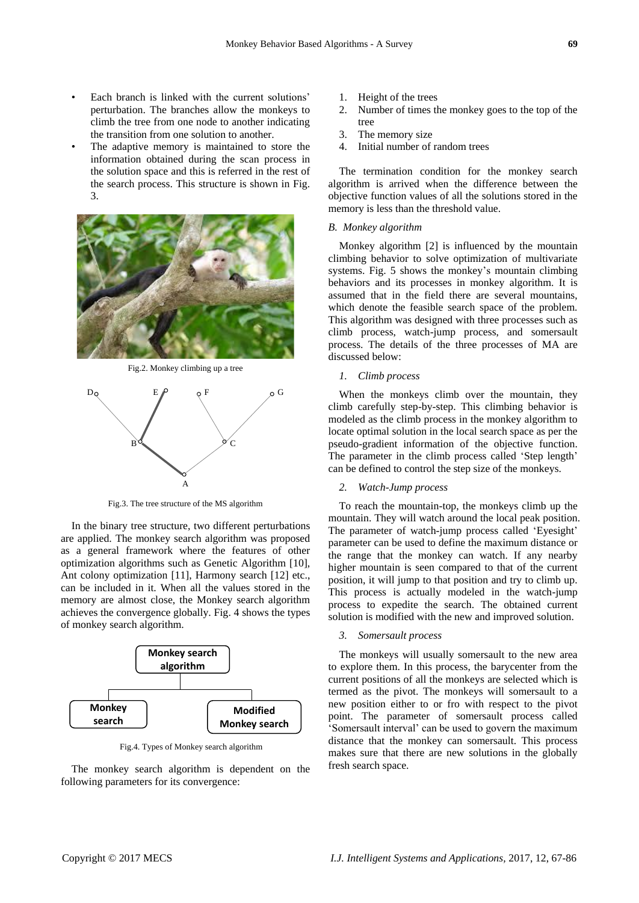- Each branch is linked with the current solutions' perturbation. The branches allow the monkeys to climb the tree from one node to another indicating the transition from one solution to another.
- The adaptive memory is maintained to store the information obtained during the scan process in the solution space and this is referred in the rest of the search process. This structure is shown in Fig. 3.



Fig.2. Monkey climbing up a tree



Fig.3. The tree structure of the MS algorithm

In the binary tree structure, two different perturbations are applied. The monkey search algorithm was proposed as a general framework where the features of other optimization algorithms such as Genetic Algorithm [10], Ant colony optimization [11], Harmony search [12] etc., can be included in it. When all the values stored in the memory are almost close, the Monkey search algorithm achieves the convergence globally. Fig. 4 shows the types of monkey search algorithm.



Fig.4. Types of Monkey search algorithm

The monkey search algorithm is dependent on the following parameters for its convergence:

- 1. Height of the trees
- 2. Number of times the monkey goes to the top of the tree
- 3. The memory size
- 4. Initial number of random trees

The termination condition for the monkey search algorithm is arrived when the difference between the objective function values of all the solutions stored in the memory is less than the threshold value.

#### *B. Monkey algorithm*

Monkey algorithm [2] is influenced by the mountain climbing behavior to solve optimization of multivariate systems. Fig. 5 shows the monkey's mountain climbing behaviors and its processes in monkey algorithm. It is assumed that in the field there are several mountains, which denote the feasible search space of the problem. This algorithm was designed with three processes such as climb process, watch-jump process, and somersault process. The details of the three processes of MA are discussed below:

# *1. Climb process*

When the monkeys climb over the mountain, they climb carefully step-by-step. This climbing behavior is modeled as the climb process in the monkey algorithm to locate optimal solution in the local search space as per the pseudo-gradient information of the objective function. The parameter in the climb process called 'Step length' can be defined to control the step size of the monkeys.

## *2. Watch-Jump process*

To reach the mountain-top, the monkeys climb up the mountain. They will watch around the local peak position. The parameter of watch-jump process called 'Eyesight' parameter can be used to define the maximum distance or the range that the monkey can watch. If any nearby higher mountain is seen compared to that of the current position, it will jump to that position and try to climb up. This process is actually modeled in the watch-jump process to expedite the search. The obtained current solution is modified with the new and improved solution.

# *3. Somersault process*

The monkeys will usually somersault to the new area to explore them. In this process, the barycenter from the current positions of all the monkeys are selected which is termed as the pivot. The monkeys will somersault to a new position either to or fro with respect to the pivot point. The parameter of somersault process called ‗Somersault interval' can be used to govern the maximum distance that the monkey can somersault. This process makes sure that there are new solutions in the globally fresh search space.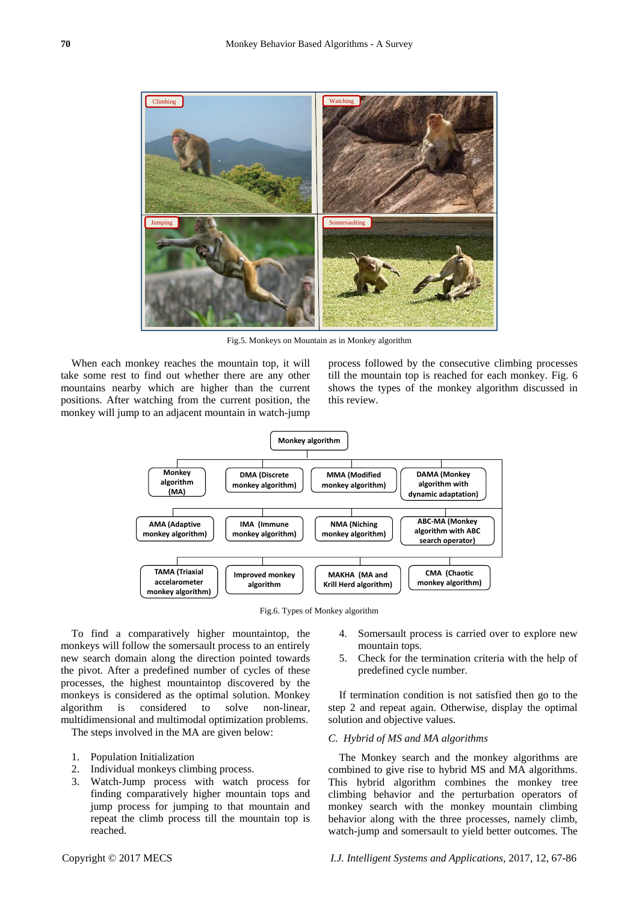

Fig.5. Monkeys on Mountain as in Monkey algorithm

When each monkey reaches the mountain top, it will take some rest to find out whether there are any other mountains nearby which are higher than the current positions. After watching from the current position, the monkey will jump to an adjacent mountain in watch-jump

process followed by the consecutive climbing processes till the mountain top is reached for each monkey. Fig. 6 shows the types of the monkey algorithm discussed in this review.



Fig.6. Types of Monkey algorithm

To find a comparatively higher mountaintop, the monkeys will follow the somersault process to an entirely new search domain along the direction pointed towards the pivot. After a predefined number of cycles of these processes, the highest mountaintop discovered by the monkeys is considered as the optimal solution. Monkey algorithm is considered to solve non-linear, multidimensional and multimodal optimization problems.

The steps involved in the MA are given below:

- 1. Population Initialization
- 2. Individual monkeys climbing process.
- 3. Watch-Jump process with watch process for finding comparatively higher mountain tops and jump process for jumping to that mountain and repeat the climb process till the mountain top is reached.

mountain tops. 5. Check for the termination criteria with the help of predefined cycle number.

If termination condition is not satisfied then go to the step 2 and repeat again. Otherwise, display the optimal solution and objective values.

4. Somersault process is carried over to explore new

#### *C. Hybrid of MS and MA algorithms*

The Monkey search and the monkey algorithms are combined to give rise to hybrid MS and MA algorithms. This hybrid algorithm combines the monkey tree climbing behavior and the perturbation operators of monkey search with the monkey mountain climbing behavior along with the three processes, namely climb, watch-jump and somersault to yield better outcomes. The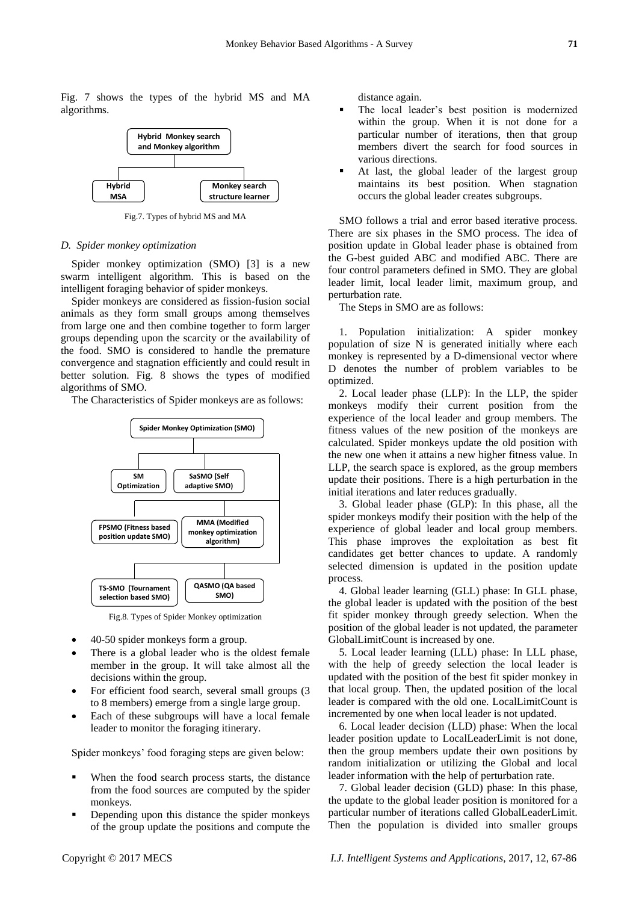Fig. 7 shows the types of the hybrid MS and MA algorithms.



Fig.7. Types of hybrid MS and MA

#### *D. Spider monkey optimization*

Spider monkey optimization (SMO) [3] is a new swarm intelligent algorithm. This is based on the intelligent foraging behavior of spider monkeys.

Spider monkeys are considered as fission-fusion social animals as they form small groups among themselves from large one and then combine together to form larger groups depending upon the scarcity or the availability of the food. SMO is considered to handle the premature convergence and stagnation efficiently and could result in better solution. Fig. 8 shows the types of modified algorithms of SMO.

The Characteristics of Spider monkeys are as follows:



Fig.8. Types of Spider Monkey optimization

- 40-50 spider monkeys form a group.
- There is a global leader who is the oldest female member in the group. It will take almost all the decisions within the group.
- For efficient food search, several small groups (3 to 8 members) emerge from a single large group.
- Each of these subgroups will have a local female leader to monitor the foraging itinerary.

Spider monkeys' food foraging steps are given below:

- When the food search process starts, the distance from the food sources are computed by the spider monkeys.
- **•** Depending upon this distance the spider monkeys of the group update the positions and compute the

distance again.

- The local leader's best position is modernized within the group. When it is not done for a particular number of iterations, then that group members divert the search for food sources in various directions.
- At last, the global leader of the largest group maintains its best position. When stagnation occurs the global leader creates subgroups.

SMO follows a trial and error based iterative process. There are six phases in the SMO process. The idea of position update in Global leader phase is obtained from the G-best guided ABC and modified ABC. There are four control parameters defined in SMO. They are global leader limit, local leader limit, maximum group, and perturbation rate.

The Steps in SMO are as follows:

1. Population initialization: A spider monkey population of size N is generated initially where each monkey is represented by a D-dimensional vector where D denotes the number of problem variables to be optimized.

2. Local leader phase (LLP): In the LLP, the spider monkeys modify their current position from the experience of the local leader and group members. The fitness values of the new position of the monkeys are calculated. Spider monkeys update the old position with the new one when it attains a new higher fitness value. In LLP, the search space is explored, as the group members update their positions. There is a high perturbation in the initial iterations and later reduces gradually.

3. Global leader phase (GLP): In this phase, all the spider monkeys modify their position with the help of the experience of global leader and local group members. This phase improves the exploitation as best fit candidates get better chances to update. A randomly selected dimension is updated in the position update process.

4. Global leader learning (GLL) phase: In GLL phase, the global leader is updated with the position of the best fit spider monkey through greedy selection. When the position of the global leader is not updated, the parameter GlobalLimitCount is increased by one.

5. Local leader learning (LLL) phase: In LLL phase, with the help of greedy selection the local leader is updated with the position of the best fit spider monkey in that local group. Then, the updated position of the local leader is compared with the old one. LocalLimitCount is incremented by one when local leader is not updated.

6. Local leader decision (LLD) phase: When the local leader position update to LocalLeaderLimit is not done, then the group members update their own positions by random initialization or utilizing the Global and local leader information with the help of perturbation rate.

7. Global leader decision (GLD) phase: In this phase, the update to the global leader position is monitored for a particular number of iterations called GlobalLeaderLimit. Then the population is divided into smaller groups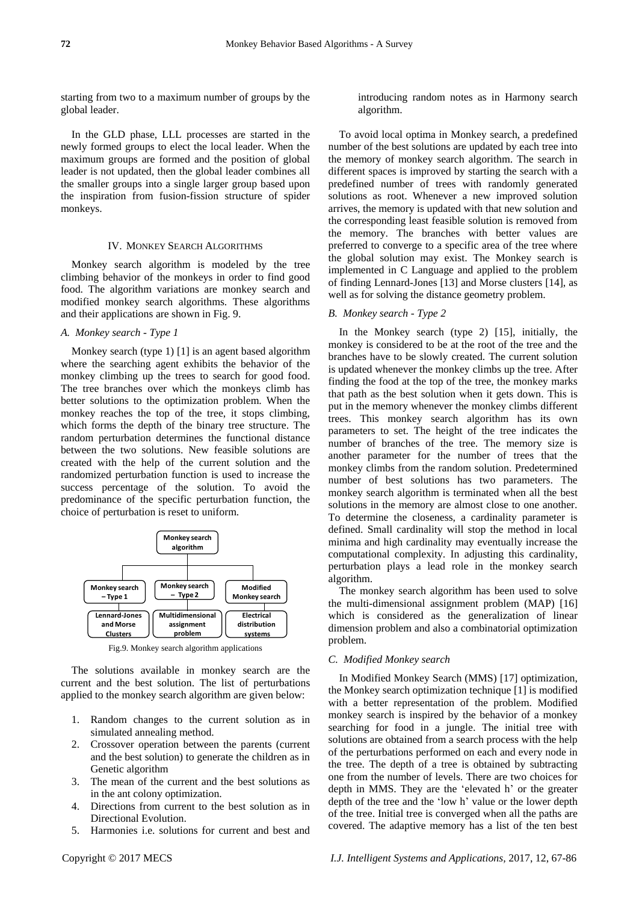starting from two to a maximum number of groups by the global leader.

In the GLD phase, LLL processes are started in the newly formed groups to elect the local leader. When the maximum groups are formed and the position of global leader is not updated, then the global leader combines all the smaller groups into a single larger group based upon the inspiration from fusion-fission structure of spider monkeys.

#### IV. MONKEY SEARCH ALGORITHMS

Monkey search algorithm is modeled by the tree climbing behavior of the monkeys in order to find good food. The algorithm variations are monkey search and modified monkey search algorithms. These algorithms and their applications are shown in Fig. 9.

# *A. Monkey search - Type 1*

Monkey search (type 1) [1] is an agent based algorithm where the searching agent exhibits the behavior of the monkey climbing up the trees to search for good food. The tree branches over which the monkeys climb has better solutions to the optimization problem. When the monkey reaches the top of the tree, it stops climbing, which forms the depth of the binary tree structure. The random perturbation determines the functional distance between the two solutions. New feasible solutions are created with the help of the current solution and the randomized perturbation function is used to increase the success percentage of the solution. To avoid the predominance of the specific perturbation function, the choice of perturbation is reset to uniform.



Fig.9. Monkey search algorithm applications

The solutions available in monkey search are the current and the best solution. The list of perturbations applied to the monkey search algorithm are given below:

- 1. Random changes to the current solution as in simulated annealing method.
- 2. Crossover operation between the parents (current and the best solution) to generate the children as in Genetic algorithm
- 3. The mean of the current and the best solutions as in the ant colony optimization.
- 4. Directions from current to the best solution as in Directional Evolution.
- 5. Harmonies i.e. solutions for current and best and

introducing random notes as in Harmony search algorithm.

To avoid local optima in Monkey search, a predefined number of the best solutions are updated by each tree into the memory of monkey search algorithm. The search in different spaces is improved by starting the search with a predefined number of trees with randomly generated solutions as root. Whenever a new improved solution arrives, the memory is updated with that new solution and the corresponding least feasible solution is removed from the memory. The branches with better values are preferred to converge to a specific area of the tree where the global solution may exist. The Monkey search is implemented in C Language and applied to the problem of finding Lennard-Jones [13] and Morse clusters [14], as well as for solving the distance geometry problem.

# *B. Monkey search - Type 2*

In the Monkey search (type 2) [15], initially, the monkey is considered to be at the root of the tree and the branches have to be slowly created. The current solution is updated whenever the monkey climbs up the tree. After finding the food at the top of the tree, the monkey marks that path as the best solution when it gets down. This is put in the memory whenever the monkey climbs different trees. This monkey search algorithm has its own parameters to set. The height of the tree indicates the number of branches of the tree. The memory size is another parameter for the number of trees that the monkey climbs from the random solution. Predetermined number of best solutions has two parameters. The monkey search algorithm is terminated when all the best solutions in the memory are almost close to one another. To determine the closeness, a cardinality parameter is defined. Small cardinality will stop the method in local minima and high cardinality may eventually increase the computational complexity. In adjusting this cardinality, perturbation plays a lead role in the monkey search algorithm.

The monkey search algorithm has been used to solve the multi-dimensional assignment problem (MAP) [16] which is considered as the generalization of linear dimension problem and also a combinatorial optimization problem.

# *C. Modified Monkey search*

In Modified Monkey Search (MMS) [17] optimization, the Monkey search optimization technique [1] is modified with a better representation of the problem. Modified monkey search is inspired by the behavior of a monkey searching for food in a jungle. The initial tree with solutions are obtained from a search process with the help of the perturbations performed on each and every node in the tree. The depth of a tree is obtained by subtracting one from the number of levels. There are two choices for depth in MMS. They are the 'elevated h' or the greater depth of the tree and the 'low h' value or the lower depth of the tree. Initial tree is converged when all the paths are covered. The adaptive memory has a list of the ten best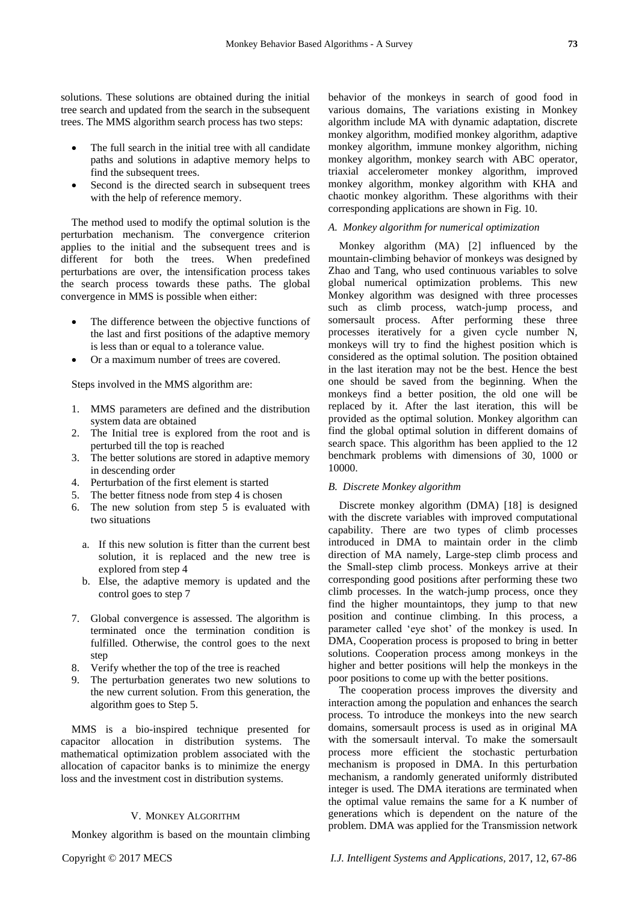solutions. These solutions are obtained during the initial tree search and updated from the search in the subsequent trees. The MMS algorithm search process has two steps:

- The full search in the initial tree with all candidate paths and solutions in adaptive memory helps to find the subsequent trees.
- Second is the directed search in subsequent trees with the help of reference memory.

The method used to modify the optimal solution is the perturbation mechanism. The convergence criterion applies to the initial and the subsequent trees and is different for both the trees. When predefined perturbations are over, the intensification process takes the search process towards these paths. The global convergence in MMS is possible when either:

- The difference between the objective functions of the last and first positions of the adaptive memory is less than or equal to a tolerance value.
- Or a maximum number of trees are covered.

Steps involved in the MMS algorithm are:

- 1. MMS parameters are defined and the distribution system data are obtained
- 2. The Initial tree is explored from the root and is perturbed till the top is reached
- 3. The better solutions are stored in adaptive memory in descending order
- 4. Perturbation of the first element is started
- 5. The better fitness node from step 4 is chosen
- 6. The new solution from step 5 is evaluated with two situations
	- a. If this new solution is fitter than the current best solution, it is replaced and the new tree is explored from step 4
	- b. Else, the adaptive memory is updated and the control goes to step 7
- 7. Global convergence is assessed. The algorithm is terminated once the termination condition is fulfilled. Otherwise, the control goes to the next step
- 8. Verify whether the top of the tree is reached
- 9. The perturbation generates two new solutions to the new current solution. From this generation, the algorithm goes to Step 5.

MMS is a bio-inspired technique presented for capacitor allocation in distribution systems. The mathematical optimization problem associated with the allocation of capacitor banks is to minimize the energy loss and the investment cost in distribution systems.

# V. MONKEY ALGORITHM

Monkey algorithm is based on the mountain climbing

behavior of the monkeys in search of good food in various domains, The variations existing in Monkey algorithm include MA with dynamic adaptation, discrete monkey algorithm, modified monkey algorithm, adaptive monkey algorithm, immune monkey algorithm, niching monkey algorithm, monkey search with ABC operator, triaxial accelerometer monkey algorithm, improved monkey algorithm, monkey algorithm with KHA and chaotic monkey algorithm. These algorithms with their corresponding applications are shown in Fig. 10.

# *A. Monkey algorithm for numerical optimization*

Monkey algorithm (MA) [2] influenced by the mountain-climbing behavior of monkeys was designed by Zhao and Tang, who used continuous variables to solve global numerical optimization problems. This new Monkey algorithm was designed with three processes such as climb process, watch-jump process, and somersault process. After performing these three processes iteratively for a given cycle number N, monkeys will try to find the highest position which is considered as the optimal solution. The position obtained in the last iteration may not be the best. Hence the best one should be saved from the beginning. When the monkeys find a better position, the old one will be replaced by it. After the last iteration, this will be provided as the optimal solution. Monkey algorithm can find the global optimal solution in different domains of search space. This algorithm has been applied to the 12 benchmark problems with dimensions of 30, 1000 or 10000.

#### *B. Discrete Monkey algorithm*

Discrete monkey algorithm (DMA) [18] is designed with the discrete variables with improved computational capability. There are two types of climb processes introduced in DMA to maintain order in the climb direction of MA namely, Large-step climb process and the Small-step climb process. Monkeys arrive at their corresponding good positions after performing these two climb processes. In the watch-jump process, once they find the higher mountaintops, they jump to that new position and continue climbing. In this process, a parameter called 'eve shot' of the monkey is used. In DMA, Cooperation process is proposed to bring in better solutions. Cooperation process among monkeys in the higher and better positions will help the monkeys in the poor positions to come up with the better positions.

The cooperation process improves the diversity and interaction among the population and enhances the search process. To introduce the monkeys into the new search domains, somersault process is used as in original MA with the somersault interval. To make the somersault process more efficient the stochastic perturbation mechanism is proposed in DMA. In this perturbation mechanism, a randomly generated uniformly distributed integer is used. The DMA iterations are terminated when the optimal value remains the same for a K number of generations which is dependent on the nature of the problem. DMA was applied for the Transmission network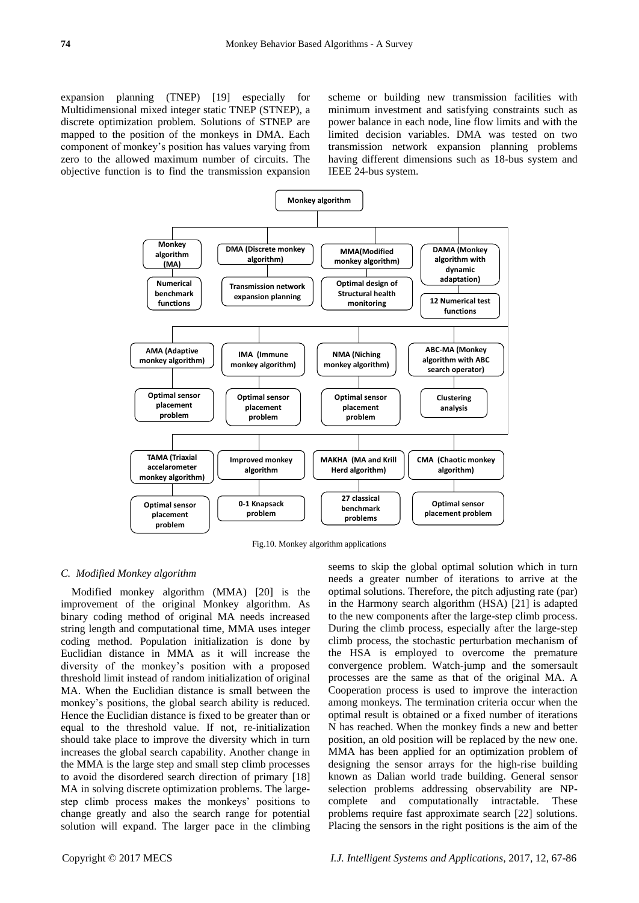expansion planning (TNEP) [19] especially for Multidimensional mixed integer static TNEP (STNEP), a discrete optimization problem. Solutions of STNEP are mapped to the position of the monkeys in DMA. Each component of monkey's position has values varying from zero to the allowed maximum number of circuits. The objective function is to find the transmission expansion scheme or building new transmission facilities with minimum investment and satisfying constraints such as power balance in each node, line flow limits and with the limited decision variables. DMA was tested on two transmission network expansion planning problems having different dimensions such as 18-bus system and IEEE 24-bus system.



Fig.10. Monkey algorithm applications

# *C. Modified Monkey algorithm*

Modified monkey algorithm (MMA) [20] is the improvement of the original Monkey algorithm. As binary coding method of original MA needs increased string length and computational time, MMA uses integer coding method. Population initialization is done by Euclidian distance in MMA as it will increase the diversity of the monkey's position with a proposed threshold limit instead of random initialization of original MA. When the Euclidian distance is small between the monkey's positions, the global search ability is reduced. Hence the Euclidian distance is fixed to be greater than or equal to the threshold value. If not, re-initialization should take place to improve the diversity which in turn increases the global search capability. Another change in the MMA is the large step and small step climb processes to avoid the disordered search direction of primary [18] MA in solving discrete optimization problems. The largestep climb process makes the monkeys' positions to change greatly and also the search range for potential solution will expand. The larger pace in the climbing

seems to skip the global optimal solution which in turn needs a greater number of iterations to arrive at the optimal solutions. Therefore, the pitch adjusting rate (par) in the Harmony search algorithm (HSA) [21] is adapted to the new components after the large-step climb process. During the climb process, especially after the large-step climb process, the stochastic perturbation mechanism of the HSA is employed to overcome the premature convergence problem. Watch-jump and the somersault processes are the same as that of the original MA. A Cooperation process is used to improve the interaction among monkeys. The termination criteria occur when the optimal result is obtained or a fixed number of iterations N has reached. When the monkey finds a new and better position, an old position will be replaced by the new one. MMA has been applied for an optimization problem of designing the sensor arrays for the high-rise building known as Dalian world trade building. General sensor selection problems addressing observability are NPcomplete and computationally intractable. These problems require fast approximate search [22] solutions. Placing the sensors in the right positions is the aim of the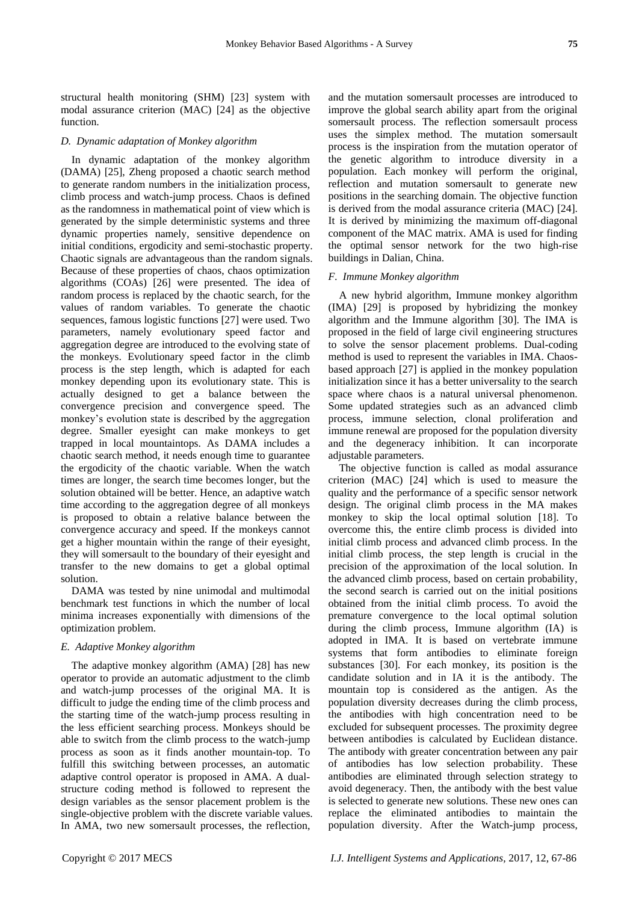structural health monitoring (SHM) [23] system with modal assurance criterion (MAC) [24] as the objective function.

#### *D. Dynamic adaptation of Monkey algorithm*

In dynamic adaptation of the monkey algorithm (DAMA) [25], Zheng proposed a chaotic search method to generate random numbers in the initialization process, climb process and watch-jump process. Chaos is defined as the randomness in mathematical point of view which is generated by the simple deterministic systems and three dynamic properties namely, sensitive dependence on initial conditions, ergodicity and semi-stochastic property. Chaotic signals are advantageous than the random signals. Because of these properties of chaos, chaos optimization algorithms (COAs) [26] were presented. The idea of random process is replaced by the chaotic search, for the values of random variables. To generate the chaotic sequences, famous logistic functions [27] were used. Two parameters, namely evolutionary speed factor and aggregation degree are introduced to the evolving state of the monkeys. Evolutionary speed factor in the climb process is the step length, which is adapted for each monkey depending upon its evolutionary state. This is actually designed to get a balance between the convergence precision and convergence speed. The monkey's evolution state is described by the aggregation degree. Smaller eyesight can make monkeys to get trapped in local mountaintops. As DAMA includes a chaotic search method, it needs enough time to guarantee the ergodicity of the chaotic variable. When the watch times are longer, the search time becomes longer, but the solution obtained will be better. Hence, an adaptive watch time according to the aggregation degree of all monkeys is proposed to obtain a relative balance between the convergence accuracy and speed. If the monkeys cannot get a higher mountain within the range of their eyesight, they will somersault to the boundary of their eyesight and transfer to the new domains to get a global optimal solution.

DAMA was tested by nine unimodal and multimodal benchmark test functions in which the number of local minima increases exponentially with dimensions of the optimization problem.

#### *E. Adaptive Monkey algorithm*

The adaptive monkey algorithm (AMA) [28] has new operator to provide an automatic adjustment to the climb and watch-jump processes of the original MA. It is difficult to judge the ending time of the climb process and the starting time of the watch-jump process resulting in the less efficient searching process. Monkeys should be able to switch from the climb process to the watch-jump process as soon as it finds another mountain-top. To fulfill this switching between processes, an automatic adaptive control operator is proposed in AMA. A dualstructure coding method is followed to represent the design variables as the sensor placement problem is the single-objective problem with the discrete variable values. In AMA, two new somersault processes, the reflection,

and the mutation somersault processes are introduced to improve the global search ability apart from the original somersault process. The reflection somersault process uses the simplex method. The mutation somersault process is the inspiration from the mutation operator of the genetic algorithm to introduce diversity in a population. Each monkey will perform the original, reflection and mutation somersault to generate new positions in the searching domain. The objective function is derived from the modal assurance criteria (MAC) [24]. It is derived by minimizing the maximum off-diagonal component of the MAC matrix. AMA is used for finding the optimal sensor network for the two high-rise buildings in Dalian, China.

## *F. Immune Monkey algorithm*

A new hybrid algorithm, Immune monkey algorithm (IMA) [29] is proposed by hybridizing the monkey algorithm and the Immune algorithm [30]. The IMA is proposed in the field of large civil engineering structures to solve the sensor placement problems. Dual-coding method is used to represent the variables in IMA. Chaosbased approach [27] is applied in the monkey population initialization since it has a better universality to the search space where chaos is a natural universal phenomenon. Some updated strategies such as an advanced climb process, immune selection, clonal proliferation and immune renewal are proposed for the population diversity and the degeneracy inhibition. It can incorporate adjustable parameters.

The objective function is called as modal assurance criterion (MAC) [24] which is used to measure the quality and the performance of a specific sensor network design. The original climb process in the MA makes monkey to skip the local optimal solution [18]. To overcome this, the entire climb process is divided into initial climb process and advanced climb process. In the initial climb process, the step length is crucial in the precision of the approximation of the local solution. In the advanced climb process, based on certain probability, the second search is carried out on the initial positions obtained from the initial climb process. To avoid the premature convergence to the local optimal solution during the climb process, Immune algorithm (IA) is adopted in IMA. It is based on vertebrate immune systems that form antibodies to eliminate foreign substances [30]. For each monkey, its position is the candidate solution and in IA it is the antibody. The mountain top is considered as the antigen. As the population diversity decreases during the climb process, the antibodies with high concentration need to be excluded for subsequent processes. The proximity degree between antibodies is calculated by Euclidean distance. The antibody with greater concentration between any pair of antibodies has low selection probability. These antibodies are eliminated through selection strategy to avoid degeneracy. Then, the antibody with the best value is selected to generate new solutions. These new ones can replace the eliminated antibodies to maintain the population diversity. After the Watch-jump process,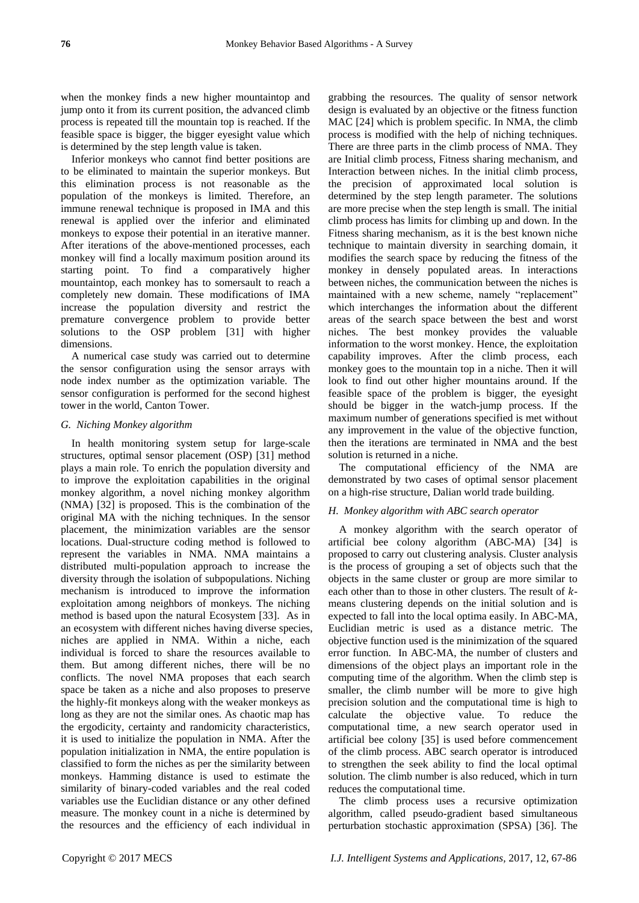when the monkey finds a new higher mountaintop and jump onto it from its current position, the advanced climb process is repeated till the mountain top is reached. If the feasible space is bigger, the bigger eyesight value which is determined by the step length value is taken.

Inferior monkeys who cannot find better positions are to be eliminated to maintain the superior monkeys. But this elimination process is not reasonable as the population of the monkeys is limited. Therefore, an immune renewal technique is proposed in IMA and this renewal is applied over the inferior and eliminated monkeys to expose their potential in an iterative manner. After iterations of the above-mentioned processes, each monkey will find a locally maximum position around its starting point. To find a comparatively higher mountaintop, each monkey has to somersault to reach a completely new domain. These modifications of IMA increase the population diversity and restrict the premature convergence problem to provide better solutions to the OSP problem [31] with higher dimensions.

A numerical case study was carried out to determine the sensor configuration using the sensor arrays with node index number as the optimization variable. The sensor configuration is performed for the second highest tower in the world, Canton Tower.

## *G. Niching Monkey algorithm*

In health monitoring system setup for large-scale structures, optimal sensor placement (OSP) [31] method plays a main role. To enrich the population diversity and to improve the exploitation capabilities in the original monkey algorithm, a novel niching monkey algorithm (NMA) [32] is proposed. This is the combination of the original MA with the niching techniques. In the sensor placement, the minimization variables are the sensor locations. Dual-structure coding method is followed to represent the variables in NMA. NMA maintains a distributed multi-population approach to increase the diversity through the isolation of subpopulations. Niching mechanism is introduced to improve the information exploitation among neighbors of monkeys. The niching method is based upon the natural Ecosystem [33]. As in an ecosystem with different niches having diverse species, niches are applied in NMA. Within a niche, each individual is forced to share the resources available to them. But among different niches, there will be no conflicts. The novel NMA proposes that each search space be taken as a niche and also proposes to preserve the highly-fit monkeys along with the weaker monkeys as long as they are not the similar ones. As chaotic map has the ergodicity, certainty and randomicity characteristics, it is used to initialize the population in NMA. After the population initialization in NMA, the entire population is classified to form the niches as per the similarity between monkeys. Hamming distance is used to estimate the similarity of binary-coded variables and the real coded variables use the Euclidian distance or any other defined measure. The monkey count in a niche is determined by the resources and the efficiency of each individual in

grabbing the resources. The quality of sensor network design is evaluated by an objective or the fitness function MAC [24] which is problem specific. In NMA, the climb process is modified with the help of niching techniques. There are three parts in the climb process of NMA. They are Initial climb process, Fitness sharing mechanism, and Interaction between niches. In the initial climb process, the precision of approximated local solution is determined by the step length parameter. The solutions are more precise when the step length is small. The initial climb process has limits for climbing up and down. In the Fitness sharing mechanism, as it is the best known niche technique to maintain diversity in searching domain, it modifies the search space by reducing the fitness of the monkey in densely populated areas. In interactions between niches, the communication between the niches is maintained with a new scheme, namely "replacement" which interchanges the information about the different areas of the search space between the best and worst niches. The best monkey provides the valuable information to the worst monkey. Hence, the exploitation capability improves. After the climb process, each monkey goes to the mountain top in a niche. Then it will look to find out other higher mountains around. If the feasible space of the problem is bigger, the eyesight should be bigger in the watch-jump process. If the maximum number of generations specified is met without any improvement in the value of the objective function, then the iterations are terminated in NMA and the best solution is returned in a niche.

The computational efficiency of the NMA are demonstrated by two cases of optimal sensor placement on a high-rise structure, Dalian world trade building.

# *H. Monkey algorithm with ABC search operator*

A monkey algorithm with the search operator of artificial bee colony algorithm (ABC-MA) [34] is proposed to carry out clustering analysis. Cluster analysis is the process of grouping a set of objects such that the objects in the same cluster or group are more similar to each other than to those in other clusters. The result of  $k$ means clustering depends on the initial solution and is expected to fall into the local optima easily. In ABC-MA, Euclidian metric is used as a distance metric. The objective function used is the minimization of the squared error function. In ABC-MA, the number of clusters and dimensions of the object plays an important role in the computing time of the algorithm. When the climb step is smaller, the climb number will be more to give high precision solution and the computational time is high to calculate the objective value. To reduce the computational time, a new search operator used in artificial bee colony [35] is used before commencement of the climb process. ABC search operator is introduced to strengthen the seek ability to find the local optimal solution. The climb number is also reduced, which in turn reduces the computational time.

The climb process uses a recursive optimization algorithm, called pseudo-gradient based simultaneous perturbation stochastic approximation (SPSA) [36]. The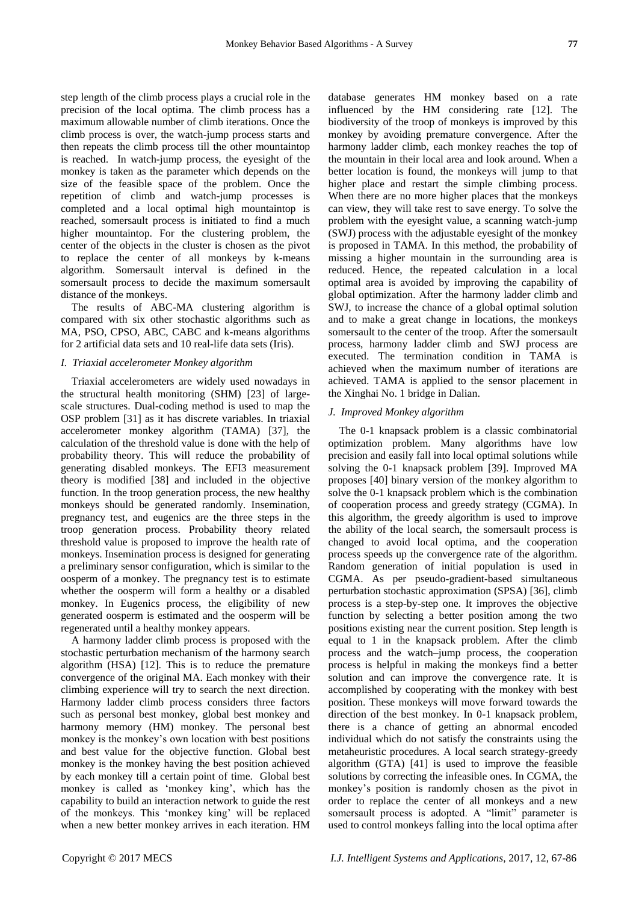step length of the climb process plays a crucial role in the precision of the local optima. The climb process has a maximum allowable number of climb iterations. Once the climb process is over, the watch-jump process starts and then repeats the climb process till the other mountaintop is reached. In watch-jump process, the eyesight of the monkey is taken as the parameter which depends on the size of the feasible space of the problem. Once the repetition of climb and watch-jump processes is completed and a local optimal high mountaintop is reached, somersault process is initiated to find a much higher mountaintop. For the clustering problem, the center of the objects in the cluster is chosen as the pivot to replace the center of all monkeys by k-means algorithm. Somersault interval is defined in the somersault process to decide the maximum somersault distance of the monkeys.

The results of ABC-MA clustering algorithm is compared with six other stochastic algorithms such as MA, PSO, CPSO, ABC, CABC and k-means algorithms for 2 artificial data sets and 10 real-life data sets (Iris).

#### *I. Triaxial accelerometer Monkey algorithm*

Triaxial accelerometers are widely used nowadays in the structural health monitoring (SHM) [23] of largescale structures. Dual-coding method is used to map the OSP problem [31] as it has discrete variables. In triaxial accelerometer monkey algorithm (TAMA) [37], the calculation of the threshold value is done with the help of probability theory. This will reduce the probability of generating disabled monkeys. The EFI3 measurement theory is modified [38] and included in the objective function. In the troop generation process, the new healthy monkeys should be generated randomly. Insemination, pregnancy test, and eugenics are the three steps in the troop generation process. Probability theory related threshold value is proposed to improve the health rate of monkeys. Insemination process is designed for generating a preliminary sensor configuration, which is similar to the oosperm of a monkey. The pregnancy test is to estimate whether the oosperm will form a healthy or a disabled monkey. In Eugenics process, the eligibility of new generated oosperm is estimated and the oosperm will be regenerated until a healthy monkey appears.

A harmony ladder climb process is proposed with the stochastic perturbation mechanism of the harmony search algorithm (HSA) [12]. This is to reduce the premature convergence of the original MA. Each monkey with their climbing experience will try to search the next direction. Harmony ladder climb process considers three factors such as personal best monkey, global best monkey and harmony memory (HM) monkey. The personal best monkey is the monkey's own location with best positions and best value for the objective function. Global best monkey is the monkey having the best position achieved by each monkey till a certain point of time. Global best monkey is called as 'monkey king', which has the capability to build an interaction network to guide the rest of the monkeys. This 'monkey king' will be replaced when a new better monkey arrives in each iteration. HM

database generates HM monkey based on a rate influenced by the HM considering rate [12]. The biodiversity of the troop of monkeys is improved by this monkey by avoiding premature convergence. After the harmony ladder climb, each monkey reaches the top of the mountain in their local area and look around. When a better location is found, the monkeys will jump to that higher place and restart the simple climbing process. When there are no more higher places that the monkeys can view, they will take rest to save energy. To solve the problem with the eyesight value, a scanning watch-jump (SWJ) process with the adjustable eyesight of the monkey is proposed in TAMA. In this method, the probability of missing a higher mountain in the surrounding area is reduced. Hence, the repeated calculation in a local optimal area is avoided by improving the capability of global optimization. After the harmony ladder climb and SWJ, to increase the chance of a global optimal solution and to make a great change in locations, the monkeys somersault to the center of the troop. After the somersault process, harmony ladder climb and SWJ process are executed. The termination condition in TAMA is achieved when the maximum number of iterations are achieved. TAMA is applied to the sensor placement in the Xinghai No. 1 bridge in Dalian.

# *J. Improved Monkey algorithm*

The 0-1 knapsack problem is a classic combinatorial optimization problem. Many algorithms have low precision and easily fall into local optimal solutions while solving the 0-1 knapsack problem [39]. Improved MA proposes [40] binary version of the monkey algorithm to solve the 0-1 knapsack problem which is the combination of cooperation process and greedy strategy (CGMA). In this algorithm, the greedy algorithm is used to improve the ability of the local search, the somersault process is changed to avoid local optima, and the cooperation process speeds up the convergence rate of the algorithm. Random generation of initial population is used in CGMA. As per pseudo-gradient-based simultaneous perturbation stochastic approximation (SPSA) [36], climb process is a step-by-step one. It improves the objective function by selecting a better position among the two positions existing near the current position. Step length is equal to 1 in the knapsack problem. After the climb process and the watch–jump process, the cooperation process is helpful in making the monkeys find a better solution and can improve the convergence rate. It is accomplished by cooperating with the monkey with best position. These monkeys will move forward towards the direction of the best monkey. In 0-1 knapsack problem, there is a chance of getting an abnormal encoded individual which do not satisfy the constraints using the metaheuristic procedures. A local search strategy-greedy algorithm (GTA) [41] is used to improve the feasible solutions by correcting the infeasible ones. In CGMA, the monkey's position is randomly chosen as the pivot in order to replace the center of all monkeys and a new somersault process is adopted. A "limit" parameter is used to control monkeys falling into the local optima after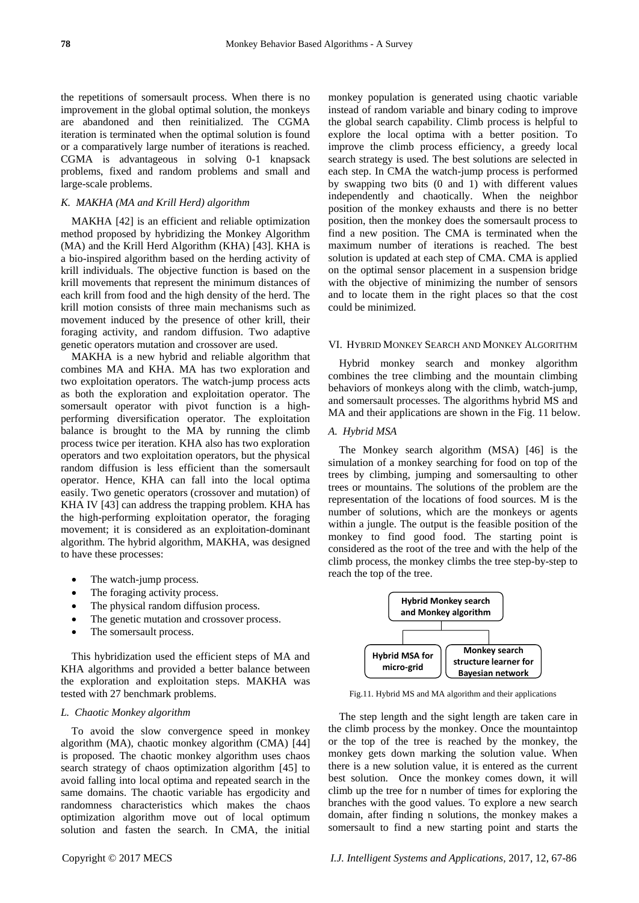the repetitions of somersault process. When there is no improvement in the global optimal solution, the monkeys are abandoned and then reinitialized. The CGMA iteration is terminated when the optimal solution is found or a comparatively large number of iterations is reached. CGMA is advantageous in solving 0-1 knapsack problems, fixed and random problems and small and large-scale problems.

# *K. MAKHA (MA and Krill Herd) algorithm*

MAKHA [42] is an efficient and reliable optimization method proposed by hybridizing the Monkey Algorithm (MA) and the Krill Herd Algorithm (KHA) [43]. KHA is a bio-inspired algorithm based on the herding activity of krill individuals. The objective function is based on the krill movements that represent the minimum distances of each krill from food and the high density of the herd. The krill motion consists of three main mechanisms such as movement induced by the presence of other krill, their foraging activity, and random diffusion. Two adaptive genetic operators mutation and crossover are used.

MAKHA is a new hybrid and reliable algorithm that combines MA and KHA. MA has two exploration and two exploitation operators. The watch-jump process acts as both the exploration and exploitation operator. The somersault operator with pivot function is a highperforming diversification operator. The exploitation balance is brought to the MA by running the climb process twice per iteration. KHA also has two exploration operators and two exploitation operators, but the physical random diffusion is less efficient than the somersault operator. Hence, KHA can fall into the local optima easily. Two genetic operators (crossover and mutation) of KHA IV [43] can address the trapping problem. KHA has the high-performing exploitation operator, the foraging movement; it is considered as an exploitation-dominant algorithm. The hybrid algorithm, MAKHA, was designed to have these processes:

- The watch-jump process.
- The foraging activity process.
- The physical random diffusion process.
- The genetic mutation and crossover process.
- The somersault process.

This hybridization used the efficient steps of MA and KHA algorithms and provided a better balance between the exploration and exploitation steps. MAKHA was tested with 27 benchmark problems.

# *L. Chaotic Monkey algorithm*

To avoid the slow convergence speed in monkey algorithm (MA), chaotic monkey algorithm (CMA) [44] is proposed. The chaotic monkey algorithm uses chaos search strategy of chaos optimization algorithm [45] to avoid falling into local optima and repeated search in the same domains. The chaotic variable has ergodicity and randomness characteristics which makes the chaos optimization algorithm move out of local optimum solution and fasten the search. In CMA, the initial monkey population is generated using chaotic variable instead of random variable and binary coding to improve the global search capability. Climb process is helpful to explore the local optima with a better position. To improve the climb process efficiency, a greedy local search strategy is used. The best solutions are selected in each step. In CMA the watch-jump process is performed by swapping two bits (0 and 1) with different values independently and chaotically. When the neighbor position of the monkey exhausts and there is no better position, then the monkey does the somersault process to find a new position. The CMA is terminated when the maximum number of iterations is reached. The best solution is updated at each step of CMA. CMA is applied on the optimal sensor placement in a suspension bridge with the objective of minimizing the number of sensors and to locate them in the right places so that the cost could be minimized.

#### VI. HYBRID MONKEY SEARCH AND MONKEY ALGORITHM

Hybrid monkey search and monkey algorithm combines the tree climbing and the mountain climbing behaviors of monkeys along with the climb, watch-jump, and somersault processes. The algorithms hybrid MS and MA and their applications are shown in the Fig. 11 below.

#### *A. Hybrid MSA*

The Monkey search algorithm (MSA) [46] is the simulation of a monkey searching for food on top of the trees by climbing, jumping and somersaulting to other trees or mountains. The solutions of the problem are the representation of the locations of food sources. M is the number of solutions, which are the monkeys or agents within a jungle. The output is the feasible position of the monkey to find good food. The starting point is considered as the root of the tree and with the help of the climb process, the monkey climbs the tree step-by-step to reach the top of the tree.



Fig.11. Hybrid MS and MA algorithm and their applications

The step length and the sight length are taken care in the climb process by the monkey. Once the mountaintop or the top of the tree is reached by the monkey, the monkey gets down marking the solution value. When there is a new solution value, it is entered as the current best solution. Once the monkey comes down, it will climb up the tree for n number of times for exploring the branches with the good values. To explore a new search domain, after finding n solutions, the monkey makes a somersault to find a new starting point and starts the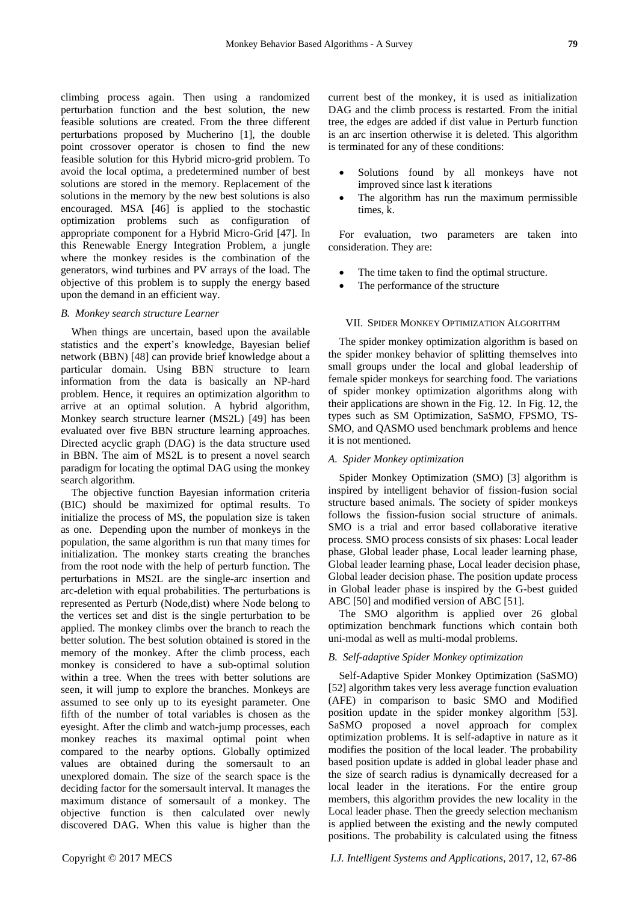climbing process again. Then using a randomized perturbation function and the best solution, the new feasible solutions are created. From the three different perturbations proposed by Mucherino [1], the double point crossover operator is chosen to find the new feasible solution for this Hybrid micro-grid problem. To avoid the local optima, a predetermined number of best solutions are stored in the memory. Replacement of the solutions in the memory by the new best solutions is also encouraged. MSA [46] is applied to the stochastic optimization problems such as configuration of appropriate component for a Hybrid Micro-Grid [47]. In this Renewable Energy Integration Problem, a jungle where the monkey resides is the combination of the generators, wind turbines and PV arrays of the load. The objective of this problem is to supply the energy based upon the demand in an efficient way.

#### *B. Monkey search structure Learner*

When things are uncertain, based upon the available statistics and the expert's knowledge, Bayesian belief network (BBN) [48] can provide brief knowledge about a particular domain. Using BBN structure to learn information from the data is basically an NP-hard problem. Hence, it requires an optimization algorithm to arrive at an optimal solution. A hybrid algorithm, Monkey search structure learner (MS2L) [49] has been evaluated over five BBN structure learning approaches. Directed acyclic graph (DAG) is the data structure used in BBN. The aim of MS2L is to present a novel search paradigm for locating the optimal DAG using the monkey search algorithm.

The objective function Bayesian information criteria (BIC) should be maximized for optimal results. To initialize the process of MS, the population size is taken as one. Depending upon the number of monkeys in the population, the same algorithm is run that many times for initialization. The monkey starts creating the branches from the root node with the help of perturb function. The perturbations in MS2L are the single-arc insertion and arc-deletion with equal probabilities. The perturbations is represented as Perturb (Node,dist) where Node belong to the vertices set and dist is the single perturbation to be applied. The monkey climbs over the branch to reach the better solution. The best solution obtained is stored in the memory of the monkey. After the climb process, each monkey is considered to have a sub-optimal solution within a tree. When the trees with better solutions are seen, it will jump to explore the branches. Monkeys are assumed to see only up to its eyesight parameter. One fifth of the number of total variables is chosen as the eyesight. After the climb and watch-jump processes, each monkey reaches its maximal optimal point when compared to the nearby options. Globally optimized values are obtained during the somersault to an unexplored domain. The size of the search space is the deciding factor for the somersault interval. It manages the maximum distance of somersault of a monkey. The objective function is then calculated over newly discovered DAG. When this value is higher than the

current best of the monkey, it is used as initialization DAG and the climb process is restarted. From the initial tree, the edges are added if dist value in Perturb function is an arc insertion otherwise it is deleted. This algorithm is terminated for any of these conditions:

- Solutions found by all monkeys have not improved since last k iterations
- The algorithm has run the maximum permissible times, k.

For evaluation, two parameters are taken into consideration. They are:

- The time taken to find the optimal structure.
- The performance of the structure

#### VII. SPIDER MONKEY OPTIMIZATION ALGORITHM

The spider monkey optimization algorithm is based on the spider monkey behavior of splitting themselves into small groups under the local and global leadership of female spider monkeys for searching food. The variations of spider monkey optimization algorithms along with their applications are shown in the Fig. 12. In Fig. 12, the types such as SM Optimization, SaSMO, FPSMO, TS-SMO, and QASMO used benchmark problems and hence it is not mentioned.

#### *A. Spider Monkey optimization*

Spider Monkey Optimization (SMO) [3] algorithm is inspired by intelligent behavior of fission-fusion social structure based animals. The society of spider monkeys follows the fission-fusion social structure of animals. SMO is a trial and error based collaborative iterative process. SMO process consists of six phases: Local leader phase, Global leader phase, Local leader learning phase, Global leader learning phase, Local leader decision phase, Global leader decision phase. The position update process in Global leader phase is inspired by the G-best guided ABC [50] and modified version of ABC [51].

The SMO algorithm is applied over 26 global optimization benchmark functions which contain both uni-modal as well as multi-modal problems.

# *B. Self-adaptive Spider Monkey optimization*

Self-Adaptive Spider Monkey Optimization (SaSMO) [52] algorithm takes very less average function evaluation (AFE) in comparison to basic SMO and Modified position update in the spider monkey algorithm [53]. SaSMO proposed a novel approach for complex optimization problems. It is self-adaptive in nature as it modifies the position of the local leader. The probability based position update is added in global leader phase and the size of search radius is dynamically decreased for a local leader in the iterations. For the entire group members, this algorithm provides the new locality in the Local leader phase. Then the greedy selection mechanism is applied between the existing and the newly computed positions. The probability is calculated using the fitness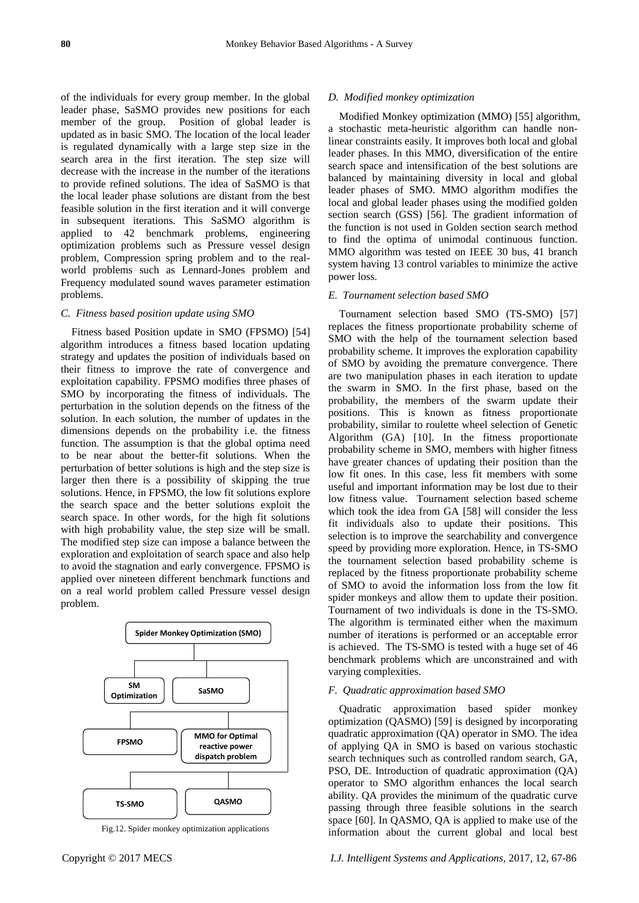of the individuals for every group member. In the global leader phase, SaSMO provides new positions for each member of the group. Position of global leader is updated as in basic SMO. The location of the local leader is regulated dynamically with a large step size in the search area in the first iteration. The step size will decrease with the increase in the number of the iterations to provide refined solutions. The idea of SaSMO is that the local leader phase solutions are distant from the best feasible solution in the first iteration and it will converge in subsequent iterations. This SaSMO algorithm is applied to 42 benchmark problems, engineering optimization problems such as Pressure vessel design problem, Compression spring problem and to the realworld problems such as Lennard-Jones problem and Frequency modulated sound waves parameter estimation problems.

#### *C. Fitness based position update using SMO*

Fitness based Position update in SMO (FPSMO) [54] algorithm introduces a fitness based location updating strategy and updates the position of individuals based on their fitness to improve the rate of convergence and exploitation capability. FPSMO modifies three phases of SMO by incorporating the fitness of individuals. The perturbation in the solution depends on the fitness of the solution. In each solution, the number of updates in the dimensions depends on the probability i.e. the fitness function. The assumption is that the global optima need to be near about the better-fit solutions. When the perturbation of better solutions is high and the step size is larger then there is a possibility of skipping the true solutions. Hence, in FPSMO, the low fit solutions explore the search space and the better solutions exploit the search space. In other words, for the high fit solutions with high probability value, the step size will be small. The modified step size can impose a balance between the exploration and exploitation of search space and also help to avoid the stagnation and early convergence. FPSMO is applied over nineteen different benchmark functions and on a real world problem called Pressure vessel design problem.



Fig.12. Spider monkey optimization applications

#### *D. Modified monkey optimization*

Modified Monkey optimization (MMO) [55] algorithm, a stochastic meta-heuristic algorithm can handle nonlinear constraints easily. It improves both local and global leader phases. In this MMO, diversification of the entire search space and intensification of the best solutions are balanced by maintaining diversity in local and global leader phases of SMO. MMO algorithm modifies the local and global leader phases using the modified golden section search (GSS) [56]. The gradient information of the function is not used in Golden section search method to find the optima of unimodal continuous function. MMO algorithm was tested on IEEE 30 bus, 41 branch system having 13 control variables to minimize the active power loss.

#### *E. Tournament selection based SMO*

Tournament selection based SMO (TS-SMO) [57] replaces the fitness proportionate probability scheme of SMO with the help of the tournament selection based probability scheme. It improves the exploration capability of SMO by avoiding the premature convergence. There are two manipulation phases in each iteration to update the swarm in SMO. In the first phase, based on the probability, the members of the swarm update their positions. This is known as fitness proportionate probability, similar to roulette wheel selection of Genetic Algorithm (GA) [10]. In the fitness proportionate probability scheme in SMO, members with higher fitness have greater chances of updating their position than the low fit ones. In this case, less fit members with some useful and important information may be lost due to their low fitness value. Tournament selection based scheme which took the idea from GA [58] will consider the less fit individuals also to update their positions. This selection is to improve the searchability and convergence speed by providing more exploration. Hence, in TS-SMO the tournament selection based probability scheme is replaced by the fitness proportionate probability scheme of SMO to avoid the information loss from the low fit spider monkeys and allow them to update their position. Tournament of two individuals is done in the TS-SMO. The algorithm is terminated either when the maximum number of iterations is performed or an acceptable error is achieved. The TS-SMO is tested with a huge set of 46 benchmark problems which are unconstrained and with varying complexities.

### *F. Quadratic approximation based SMO*

Quadratic approximation based spider monkey optimization (QASMO) [59] is designed by incorporating quadratic approximation (QA) operator in SMO. The idea of applying QA in SMO is based on various stochastic search techniques such as controlled random search, GA, PSO, DE. Introduction of quadratic approximation (QA) operator to SMO algorithm enhances the local search ability. QA provides the minimum of the quadratic curve passing through three feasible solutions in the search space [60]. In QASMO, QA is applied to make use of the information about the current global and local best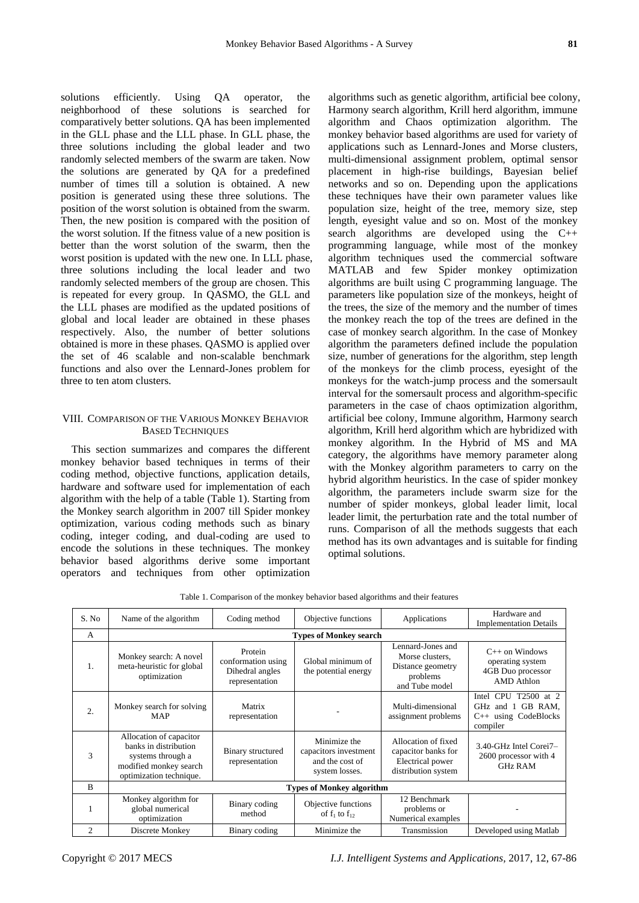solutions efficiently. Using QA operator, the neighborhood of these solutions is searched for comparatively better solutions. QA has been implemented in the GLL phase and the LLL phase. In GLL phase, the three solutions including the global leader and two randomly selected members of the swarm are taken. Now the solutions are generated by QA for a predefined number of times till a solution is obtained. A new position is generated using these three solutions. The position of the worst solution is obtained from the swarm. Then, the new position is compared with the position of the worst solution. If the fitness value of a new position is better than the worst solution of the swarm, then the worst position is updated with the new one. In LLL phase, three solutions including the local leader and two randomly selected members of the group are chosen. This is repeated for every group. In QASMO, the GLL and the LLL phases are modified as the updated positions of global and local leader are obtained in these phases respectively. Also, the number of better solutions obtained is more in these phases. QASMO is applied over the set of 46 scalable and non-scalable benchmark functions and also over the Lennard-Jones problem for three to ten atom clusters.

# VIII. COMPARISON OF THE VARIOUS MONKEY BEHAVIOR BASED TECHNIQUES

This section summarizes and compares the different monkey behavior based techniques in terms of their coding method, objective functions, application details, hardware and software used for implementation of each algorithm with the help of a table (Table 1). Starting from the Monkey search algorithm in 2007 till Spider monkey optimization, various coding methods such as binary coding, integer coding, and dual-coding are used to encode the solutions in these techniques. The monkey behavior based algorithms derive some important operators and techniques from other optimization

algorithms such as genetic algorithm, artificial bee colony, Harmony search algorithm, Krill herd algorithm, immune algorithm and Chaos optimization algorithm. The monkey behavior based algorithms are used for variety of applications such as Lennard-Jones and Morse clusters, multi-dimensional assignment problem, optimal sensor placement in high-rise buildings, Bayesian belief networks and so on. Depending upon the applications these techniques have their own parameter values like population size, height of the tree, memory size, step length, eyesight value and so on. Most of the monkey search algorithms are developed using the C++ programming language, while most of the monkey algorithm techniques used the commercial software MATLAB and few Spider monkey optimization algorithms are built using C programming language. The parameters like population size of the monkeys, height of the trees, the size of the memory and the number of times the monkey reach the top of the trees are defined in the case of monkey search algorithm. In the case of Monkey algorithm the parameters defined include the population size, number of generations for the algorithm, step length of the monkeys for the climb process, eyesight of the monkeys for the watch-jump process and the somersault interval for the somersault process and algorithm-specific parameters in the case of chaos optimization algorithm, artificial bee colony, Immune algorithm, Harmony search algorithm, Krill herd algorithm which are hybridized with monkey algorithm. In the Hybrid of MS and MA category, the algorithms have memory parameter along with the Monkey algorithm parameters to carry on the hybrid algorithm heuristics. In the case of spider monkey algorithm, the parameters include swarm size for the number of spider monkeys, global leader limit, local leader limit, the perturbation rate and the total number of runs. Comparison of all the methods suggests that each method has its own advantages and is suitable for finding optimal solutions.

| Table 1. Comparison of the monkey behavior based algorithms and their features |  |  |  |
|--------------------------------------------------------------------------------|--|--|--|
|--------------------------------------------------------------------------------|--|--|--|

| S. No          | Name of the algorithm                                                                                                      | Coding method                                                      | Objective functions                                                        | Applications                                                                            | Hardware and<br><b>Implementation Details</b>                                         |
|----------------|----------------------------------------------------------------------------------------------------------------------------|--------------------------------------------------------------------|----------------------------------------------------------------------------|-----------------------------------------------------------------------------------------|---------------------------------------------------------------------------------------|
| $\mathsf{A}$   | <b>Types of Monkey search</b>                                                                                              |                                                                    |                                                                            |                                                                                         |                                                                                       |
| 1.             | Monkey search: A novel<br>meta-heuristic for global<br>optimization                                                        | Protein<br>conformation using<br>Dihedral angles<br>representation | Global minimum of<br>the potential energy                                  | Lennard-Jones and<br>Morse clusters,<br>Distance geometry<br>problems<br>and Tube model | $C++$ on Windows<br>operating system<br>4GB Duo processor<br><b>AMD</b> Athlon        |
| 2.             | Monkey search for solving<br><b>MAP</b>                                                                                    | Matrix<br>representation                                           |                                                                            | Multi-dimensional<br>assignment problems                                                | CPU T2500 at 2<br>Intel<br>GB RAM,<br>GHz and 1<br>$C++$ using CodeBlocks<br>compiler |
| 3              | Allocation of capacitor<br>banks in distribution<br>systems through a<br>modified monkey search<br>optimization technique. | Binary structured<br>representation                                | Minimize the<br>capacitors investment<br>and the cost of<br>system losses. | Allocation of fixed<br>capacitor banks for<br>Electrical power<br>distribution system   | 3.40-GHz Intel Corei7-<br>2600 processor with 4<br><b>GHz RAM</b>                     |
| B              | <b>Types of Monkey algorithm</b>                                                                                           |                                                                    |                                                                            |                                                                                         |                                                                                       |
| 1              | Monkey algorithm for<br>global numerical<br>optimization                                                                   | Binary coding<br>method                                            | Objective functions<br>of $f_1$ to $f_{12}$                                | 12 Benchmark<br>problems or<br>Numerical examples                                       |                                                                                       |
| $\overline{c}$ | Discrete Monkey                                                                                                            | Binary coding                                                      | Minimize the                                                               | Transmission                                                                            | Developed using Matlab                                                                |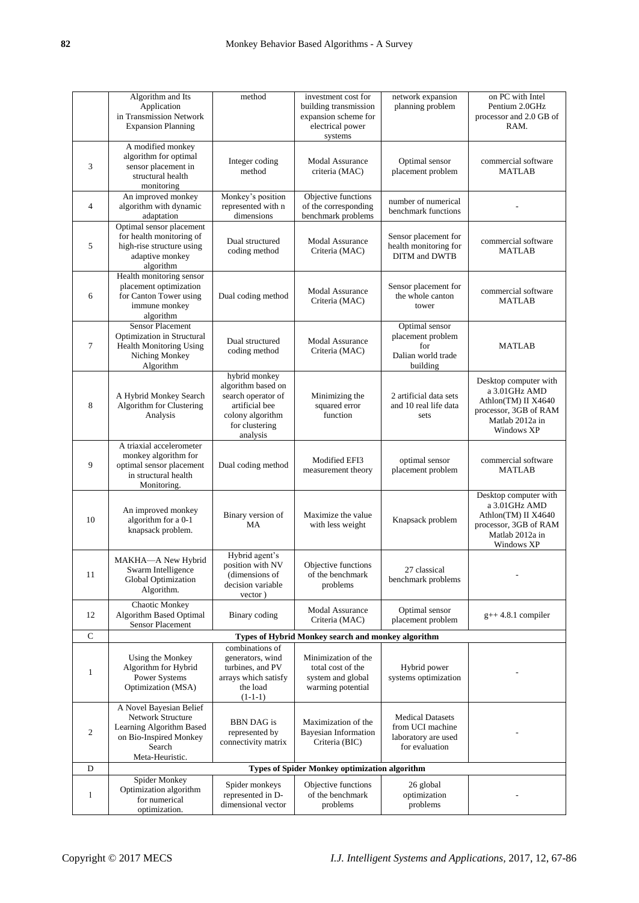|                | Algorithm and Its<br>Application<br>in Transmission Network<br><b>Expansion Planning</b>                                               | method                                                                                                                        | investment cost for<br>building transmission<br>expansion scheme for<br>electrical power<br>systems | network expansion<br>planning problem                                                | on PC with Intel<br>Pentium 2.0GHz<br>processor and 2.0 GB of<br>RAM.                                                   |
|----------------|----------------------------------------------------------------------------------------------------------------------------------------|-------------------------------------------------------------------------------------------------------------------------------|-----------------------------------------------------------------------------------------------------|--------------------------------------------------------------------------------------|-------------------------------------------------------------------------------------------------------------------------|
| 3              | A modified monkey<br>algorithm for optimal<br>sensor placement in<br>structural health<br>monitoring                                   | Integer coding<br>method                                                                                                      | <b>Modal Assurance</b><br>criteria (MAC)                                                            | Optimal sensor<br>placement problem                                                  | commercial software<br><b>MATLAB</b>                                                                                    |
| $\overline{4}$ | An improved monkey<br>algorithm with dynamic<br>adaptation                                                                             | Monkey's position<br>represented with n<br>dimensions                                                                         | Objective functions<br>of the corresponding<br>benchmark problems                                   | number of numerical<br>benchmark functions                                           |                                                                                                                         |
| 5              | Optimal sensor placement<br>for health monitoring of<br>high-rise structure using<br>adaptive monkey<br>algorithm                      | Dual structured<br>coding method                                                                                              | <b>Modal Assurance</b><br>Criteria (MAC)                                                            | Sensor placement for<br>health monitoring for<br>DITM and DWTB                       | commercial software<br><b>MATLAB</b>                                                                                    |
| 6              | Health monitoring sensor<br>placement optimization<br>for Canton Tower using<br>immune monkey<br>algorithm                             | Dual coding method                                                                                                            | <b>Modal Assurance</b><br>Criteria (MAC)                                                            | Sensor placement for<br>the whole canton<br>tower                                    | commercial software<br><b>MATLAB</b>                                                                                    |
| 7              | <b>Sensor Placement</b><br>Optimization in Structural<br><b>Health Monitoring Using</b><br>Niching Monkey<br>Algorithm                 | Dual structured<br>coding method                                                                                              | <b>Modal Assurance</b><br>Criteria (MAC)                                                            | Optimal sensor<br>placement problem<br>for<br>Dalian world trade<br>building         | <b>MATLAB</b>                                                                                                           |
| 8              | A Hybrid Monkey Search<br>Algorithm for Clustering<br>Analysis                                                                         | hybrid monkey<br>algorithm based on<br>search operator of<br>artificial bee<br>colony algorithm<br>for clustering<br>analysis | Minimizing the<br>squared error<br>function                                                         | 2 artificial data sets<br>and 10 real life data<br>sets                              | Desktop computer with<br>a 3.01GHz AMD<br>Athlon(TM) II X4640<br>processor, 3GB of RAM<br>Matlab 2012a in<br>Windows XP |
| 9              | A triaxial accelerometer<br>monkey algorithm for<br>optimal sensor placement<br>in structural health<br>Monitoring.                    | Dual coding method                                                                                                            | Modified EFI3<br>measurement theory                                                                 | optimal sensor<br>placement problem                                                  | commercial software<br><b>MATLAB</b>                                                                                    |
| 10             | An improved monkey<br>algorithm for a 0-1<br>knapsack problem.                                                                         | Binary version of<br><b>MA</b>                                                                                                | Maximize the value<br>with less weight                                                              | Knapsack problem                                                                     | Desktop computer with<br>a 3.01GHz AMD<br>Athlon(TM) II X4640<br>processor, 3GB of RAM<br>Matlab 2012a in<br>Windows XP |
| 11             | MAKHA-A New Hybrid<br>Swarm Intelligence<br>Global Optimization<br>Algorithm.                                                          | Hybrid agent's<br>position with NV<br>(dimensions of<br>decision variable<br>vector)                                          | Objective functions<br>of the benchmark<br>problems                                                 | 27 classical<br>benchmark problems                                                   |                                                                                                                         |
| 12             | <b>Chaotic Monkey</b><br>Algorithm Based Optimal<br><b>Sensor Placement</b>                                                            | Binary coding                                                                                                                 | <b>Modal Assurance</b><br>Criteria (MAC)                                                            | Optimal sensor<br>placement problem                                                  | $g++4.8.1$ compiler                                                                                                     |
| $\mathbf C$    | Types of Hybrid Monkey search and monkey algorithm                                                                                     |                                                                                                                               |                                                                                                     |                                                                                      |                                                                                                                         |
| $\mathbf{1}$   | Using the Monkey<br>Algorithm for Hybrid<br>Power Systems<br>Optimization (MSA)                                                        | combinations of<br>generators, wind<br>turbines, and PV<br>arrays which satisfy<br>the load<br>$(1-1-1)$                      | Minimization of the<br>total cost of the<br>system and global<br>warming potential                  | Hybrid power<br>systems optimization                                                 |                                                                                                                         |
| $\mathfrak{2}$ | A Novel Bayesian Belief<br><b>Network Structure</b><br>Learning Algorithm Based<br>on Bio-Inspired Monkey<br>Search<br>Meta-Heuristic. | <b>BBN</b> DAG is<br>represented by<br>connectivity matrix                                                                    | Maximization of the<br><b>Bayesian Information</b><br>Criteria (BIC)                                | <b>Medical Datasets</b><br>from UCI machine<br>laboratory are used<br>for evaluation |                                                                                                                         |
| D              |                                                                                                                                        |                                                                                                                               | <b>Types of Spider Monkey optimization algorithm</b>                                                |                                                                                      |                                                                                                                         |
| $\mathbf{1}$   | Spider Monkey<br>Optimization algorithm<br>for numerical<br>optimization.                                                              | Spider monkeys<br>represented in D-<br>dimensional vector                                                                     | Objective functions<br>of the benchmark<br>problems                                                 | 26 global<br>optimization<br>problems                                                |                                                                                                                         |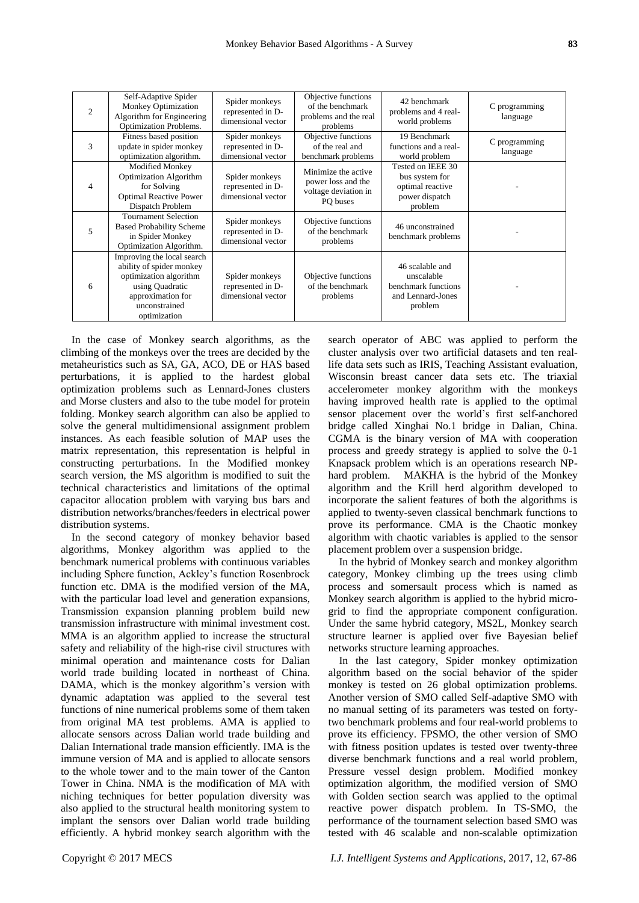| $\mathcal{D}_{\mathcal{L}}$ | Self-Adaptive Spider<br><b>Monkey Optimization</b><br>Algorithm for Engineering<br>Optimization Problems.                                                 | Spider monkeys<br>represented in D-<br>dimensional vector | Objective functions<br>of the benchmark<br>problems and the real<br>problems  | 42 benchmark<br>problems and 4 real-<br>world problems                               | C programming<br>language |
|-----------------------------|-----------------------------------------------------------------------------------------------------------------------------------------------------------|-----------------------------------------------------------|-------------------------------------------------------------------------------|--------------------------------------------------------------------------------------|---------------------------|
| 3                           | Fitness based position<br>update in spider monkey<br>optimization algorithm.                                                                              | Spider monkeys<br>represented in D-<br>dimensional vector | Objective functions<br>of the real and<br>benchmark problems                  | 19 Benchmark<br>functions and a real-<br>world problem                               | C programming<br>language |
| $\overline{4}$              | <b>Modified Monkey</b><br><b>Optimization Algorithm</b><br>for Solving<br><b>Optimal Reactive Power</b><br>Dispatch Problem                               | Spider monkeys<br>represented in D-<br>dimensional vector | Minimize the active<br>power loss and the<br>voltage deviation in<br>PO buses | Tested on IEEE 30<br>bus system for<br>optimal reactive<br>power dispatch<br>problem |                           |
| 5                           | <b>Tournament Selection</b><br><b>Based Probability Scheme</b><br>in Spider Monkey<br>Optimization Algorithm.                                             | Spider monkeys<br>represented in D-<br>dimensional vector | Objective functions<br>of the benchmark<br>problems                           | 46 unconstrained<br>benchmark problems                                               |                           |
| 6                           | Improving the local search<br>ability of spider monkey<br>optimization algorithm<br>using Quadratic<br>approximation for<br>unconstrained<br>optimization | Spider monkeys<br>represented in D-<br>dimensional vector | Objective functions<br>of the benchmark<br>problems                           | 46 scalable and<br>unscalable<br>benchmark functions<br>and Lennard-Jones<br>problem |                           |

In the case of Monkey search algorithms, as the climbing of the monkeys over the trees are decided by the metaheuristics such as SA, GA, ACO, DE or HAS based perturbations, it is applied to the hardest global optimization problems such as Lennard-Jones clusters and Morse clusters and also to the tube model for protein folding. Monkey search algorithm can also be applied to solve the general multidimensional assignment problem instances. As each feasible solution of MAP uses the matrix representation, this representation is helpful in constructing perturbations. In the Modified monkey search version, the MS algorithm is modified to suit the technical characteristics and limitations of the optimal capacitor allocation problem with varying bus bars and distribution networks/branches/feeders in electrical power distribution systems.

In the second category of monkey behavior based algorithms, Monkey algorithm was applied to the benchmark numerical problems with continuous variables including Sphere function, Ackley's function Rosenbrock function etc. DMA is the modified version of the MA, with the particular load level and generation expansions, Transmission expansion planning problem build new transmission infrastructure with minimal investment cost. MMA is an algorithm applied to increase the structural safety and reliability of the high-rise civil structures with minimal operation and maintenance costs for Dalian world trade building located in northeast of China. DAMA, which is the monkey algorithm's version with dynamic adaptation was applied to the several test functions of nine numerical problems some of them taken from original MA test problems. AMA is applied to allocate sensors across Dalian world trade building and Dalian International trade mansion efficiently. IMA is the immune version of MA and is applied to allocate sensors to the whole tower and to the main tower of the Canton Tower in China. NMA is the modification of MA with niching techniques for better population diversity was also applied to the structural health monitoring system to implant the sensors over Dalian world trade building efficiently. A hybrid monkey search algorithm with the

search operator of ABC was applied to perform the cluster analysis over two artificial datasets and ten reallife data sets such as IRIS, Teaching Assistant evaluation, Wisconsin breast cancer data sets etc. The triaxial accelerometer monkey algorithm with the monkeys having improved health rate is applied to the optimal sensor placement over the world's first self-anchored bridge called Xinghai No.1 bridge in Dalian, China. CGMA is the binary version of MA with cooperation process and greedy strategy is applied to solve the 0-1 Knapsack problem which is an operations research NPhard problem. MAKHA is the hybrid of the Monkey algorithm and the Krill herd algorithm developed to incorporate the salient features of both the algorithms is applied to twenty-seven classical benchmark functions to prove its performance. CMA is the Chaotic monkey algorithm with chaotic variables is applied to the sensor placement problem over a suspension bridge.

In the hybrid of Monkey search and monkey algorithm category, Monkey climbing up the trees using climb process and somersault process which is named as Monkey search algorithm is applied to the hybrid microgrid to find the appropriate component configuration. Under the same hybrid category, MS2L, Monkey search structure learner is applied over five Bayesian belief networks structure learning approaches.

In the last category, Spider monkey optimization algorithm based on the social behavior of the spider monkey is tested on 26 global optimization problems. Another version of SMO called Self-adaptive SMO with no manual setting of its parameters was tested on fortytwo benchmark problems and four real-world problems to prove its efficiency. FPSMO, the other version of SMO with fitness position updates is tested over twenty-three diverse benchmark functions and a real world problem, Pressure vessel design problem. Modified monkey optimization algorithm, the modified version of SMO with Golden section search was applied to the optimal reactive power dispatch problem. In TS-SMO, the performance of the tournament selection based SMO was tested with 46 scalable and non-scalable optimization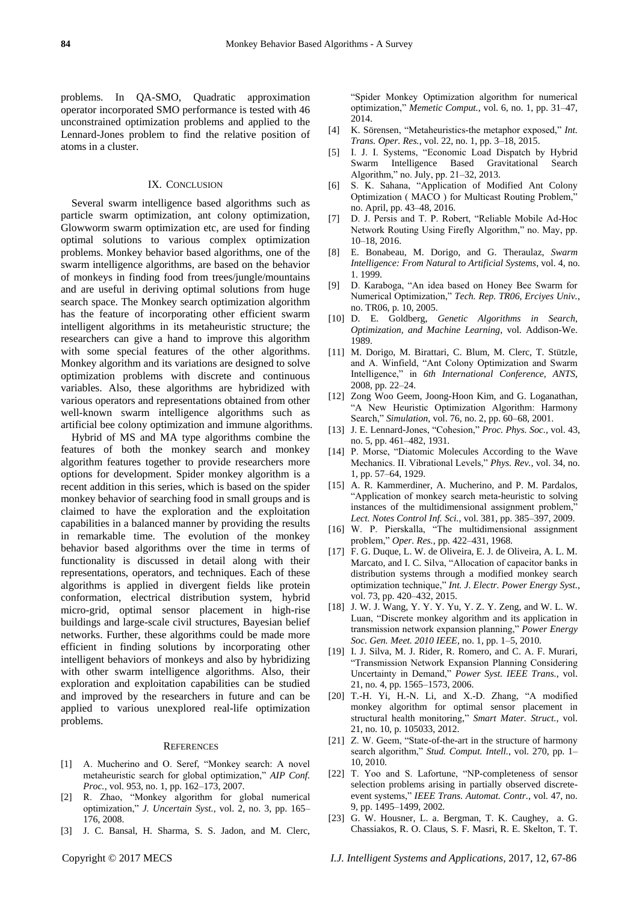problems. In QA-SMO, Quadratic approximation operator incorporated SMO performance is tested with 46 unconstrained optimization problems and applied to the Lennard-Jones problem to find the relative position of atoms in a cluster.

#### IX. CONCLUSION

Several swarm intelligence based algorithms such as particle swarm optimization, ant colony optimization, Glowworm swarm optimization etc, are used for finding optimal solutions to various complex optimization problems. Monkey behavior based algorithms, one of the swarm intelligence algorithms, are based on the behavior of monkeys in finding food from trees/jungle/mountains and are useful in deriving optimal solutions from huge search space. The Monkey search optimization algorithm has the feature of incorporating other efficient swarm intelligent algorithms in its metaheuristic structure; the researchers can give a hand to improve this algorithm with some special features of the other algorithms. Monkey algorithm and its variations are designed to solve optimization problems with discrete and continuous variables. Also, these algorithms are hybridized with various operators and representations obtained from other well-known swarm intelligence algorithms such as artificial bee colony optimization and immune algorithms.

Hybrid of MS and MA type algorithms combine the features of both the monkey search and monkey algorithm features together to provide researchers more options for development. Spider monkey algorithm is a recent addition in this series, which is based on the spider monkey behavior of searching food in small groups and is claimed to have the exploration and the exploitation capabilities in a balanced manner by providing the results in remarkable time. The evolution of the monkey behavior based algorithms over the time in terms of functionality is discussed in detail along with their representations, operators, and techniques. Each of these algorithms is applied in divergent fields like protein conformation, electrical distribution system, hybrid micro-grid, optimal sensor placement in high-rise buildings and large-scale civil structures, Bayesian belief networks. Further, these algorithms could be made more efficient in finding solutions by incorporating other intelligent behaviors of monkeys and also by hybridizing with other swarm intelligence algorithms. Also, their exploration and exploitation capabilities can be studied and improved by the researchers in future and can be applied to various unexplored real-life optimization problems.

#### **REFERENCES**

- [1] A. Mucherino and O. Seref, "Monkey search: A novel metaheuristic search for global optimization," *AIP Conf. Proc.*, vol. 953, no. 1, pp. 162–173, 2007.
- [2] R. Zhao, "Monkey algorithm for global numerical optimization,‖ *J. Uncertain Syst.*, vol. 2, no. 3, pp. 165– 176, 2008.
- [3] J. C. Bansal, H. Sharma, S. S. Jadon, and M. Clerc,
- [4] K. Sörensen, "Metaheuristics-the metaphor exposed," Int. *Trans. Oper. Res.*, vol. 22, no. 1, pp. 3–18, 2015.
- [5] I. J. I. Systems, "Economic Load Dispatch by Hybrid Swarm Intelligence Based Gravitational Search Algorithm," no. July, pp.  $21-32$ ,  $2013$ .
- [6] S. K. Sahana, "Application of Modified Ant Colony Optimization (MACO) for Multicast Routing Problem," no. April, pp. 43–48, 2016.
- [7] D. J. Persis and T. P. Robert, "Reliable Mobile Ad-Hoc Network Routing Using Firefly Algorithm," no. May, pp. 10–18, 2016.
- [8] E. Bonabeau, M. Dorigo, and G. Theraulaz, *Swarm Intelligence: From Natural to Artificial Systems*, vol. 4, no. 1. 1999.
- [9] D. Karaboga, "An idea based on Honey Bee Swarm for Numerical Optimization,‖ *Tech. Rep. TR06, Erciyes Univ.*, no. TR06, p. 10, 2005.
- [10] D. E. Goldberg, *Genetic Algorithms in Search, Optimization, and Machine Learning*, vol. Addison-We. 1989.
- [11] M. Dorigo, M. Birattari, C. Blum, M. Clerc, T. Stützle, and A. Winfield, "Ant Colony Optimization and Swarm Intelligence," in *6th International Conference, ANTS*, 2008, pp. 22–24.
- [12] Zong Woo Geem, Joong-Hoon Kim, and G. Loganathan, ―A New Heuristic Optimization Algorithm: Harmony Search," Simulation, vol. 76, no. 2, pp. 60–68, 2001.
- [13] J. E. Lennard-Jones, "Cohesion," Proc. Phys. Soc., vol. 43, no. 5, pp. 461–482, 1931.
- [14] P. Morse, "Diatomic Molecules According to the Wave Mechanics. II. Vibrational Levels," Phys. Rev., vol. 34, no. 1, pp. 57–64, 1929.
- [15] A. R. Kammerdiner, A. Mucherino, and P. M. Pardalos, ―Application of monkey search meta-heuristic to solving instances of the multidimensional assignment problem," *Lect. Notes Control Inf. Sci.*, vol. 381, pp. 385–397, 2009.
- [16] W. P. Pierskalla, "The multidimensional assignment problem,‖ *Oper. Res.*, pp. 422–431, 1968.
- [17] F. G. Duque, L. W. de Oliveira, E. J. de Oliveira, A. L. M. Marcato, and I. C. Silva, "Allocation of capacitor banks in distribution systems through a modified monkey search optimization technique," Int. J. Electr. Power Energy Syst., vol. 73, pp. 420–432, 2015.
- [18] J. W. J. Wang, Y. Y. Y. Yu, Y. Z. Y. Zeng, and W. L. W. Luan, "Discrete monkey algorithm and its application in transmission network expansion planning," *Power Energy Soc. Gen. Meet. 2010 IEEE*, no. 1, pp. 1–5, 2010.
- [19] I. J. Silva, M. J. Rider, R. Romero, and C. A. F. Murari, ―Transmission Network Expansion Planning Considering Uncertainty in Demand," Power Syst. IEEE Trans., vol. 21, no. 4, pp. 1565–1573, 2006.
- [20] T.-H. Yi, H.-N. Li, and X.-D. Zhang, "A modified monkey algorithm for optimal sensor placement in structural health monitoring," Smart Mater. Struct., vol. 21, no. 10, p. 105033, 2012.
- [21] Z. W. Geem, "State-of-the-art in the structure of harmony search algorithm," *Stud. Comput. Intell.*, vol. 270, pp. 1– 10, 2010.
- [22] T. Yoo and S. Lafortune, "NP-completeness of sensor selection problems arising in partially observed discreteevent systems," IEEE Trans. Automat. Contr., vol. 47, no. 9, pp. 1495–1499, 2002.
- [23] G. W. Housner, L. a. Bergman, T. K. Caughey, a. G. Chassiakos, R. O. Claus, S. F. Masri, R. E. Skelton, T. T.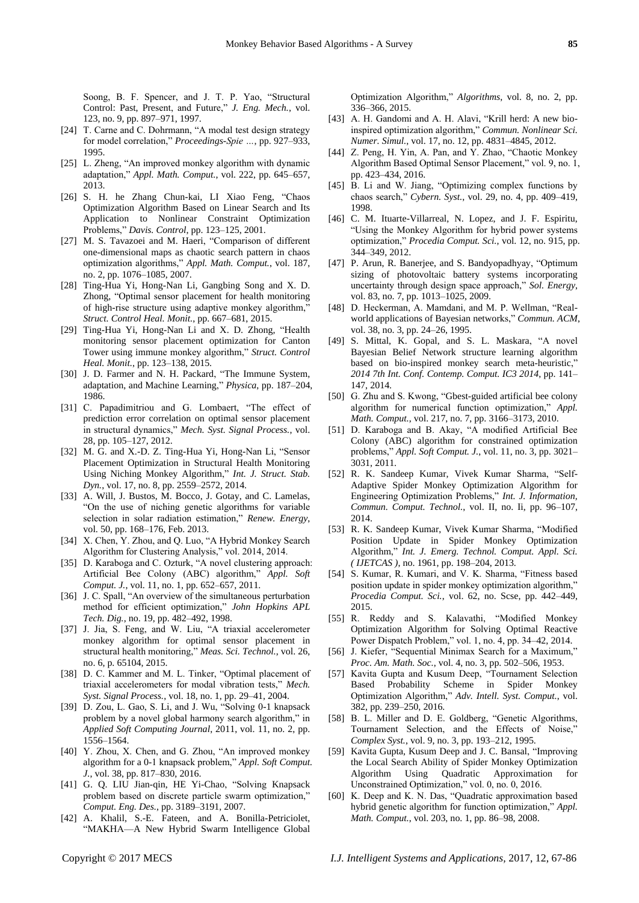Soong, B. F. Spencer, and J. T. P. Yao, "Structural Control: Past, Present, and Future," *J. Eng. Mech.*, vol. 123, no. 9, pp. 897–971, 1997.

- [24] T. Carne and C. Dohrmann, "A modal test design strategy for model correlation," *Proceedings-Spie ...*, pp. 927–933, 1995.
- [25] L. Zheng, "An improved monkey algorithm with dynamic adaptation,‖ *Appl. Math. Comput.*, vol. 222, pp. 645–657, 2013.
- [26] S. H. he Zhang Chun-kai, LI Xiao Feng, "Chaos Optimization Algorithm Based on Linear Search and Its Application to Nonlinear Constraint Optimization Problems,‖ *Davis. Control*, pp. 123–125, 2001.
- [27] M. S. Tavazoei and M. Haeri, "Comparison of different one-dimensional maps as chaotic search pattern in chaos optimization algorithms," Appl. Math. Comput., vol. 187, no. 2, pp. 1076–1085, 2007.
- [28] Ting-Hua Yi, Hong-Nan Li, Gangbing Song and X. D. Zhong, "Optimal sensor placement for health monitoring of high-rise structure using adaptive monkey algorithm,' *Struct. Control Heal. Monit.*, pp. 667–681, 2015.
- [29] Ting-Hua Yi, Hong-Nan Li and X. D. Zhong, "Health monitoring sensor placement optimization for Canton Tower using immune monkey algorithm," *Struct. Control Heal. Monit.*, pp. 123–138, 2015.
- [30] J. D. Farmer and N. H. Packard, "The Immune System, adaptation, and Machine Learning," *Physica*, pp. 187–204, 1986.
- [31] C. Papadimitriou and G. Lombaert, "The effect of prediction error correlation on optimal sensor placement in structural dynamics," Mech. Syst. Signal Process., vol. 28, pp. 105–127, 2012.
- [32] M. G. and X.-D. Z. Ting-Hua Yi, Hong-Nan Li, "Sensor Placement Optimization in Structural Health Monitoring Using Niching Monkey Algorithm," Int. J. Struct. Stab. *Dyn.*, vol. 17, no. 8, pp. 2559–2572, 2014.
- [33] A. Will, J. Bustos, M. Bocco, J. Gotay, and C. Lamelas, ―On the use of niching genetic algorithms for variable selection in solar radiation estimation," Renew. Energy, vol. 50, pp. 168–176, Feb. 2013.
- [34] X. Chen, Y. Zhou, and Q. Luo, "A Hybrid Monkey Search Algorithm for Clustering Analysis," vol. 2014, 2014.
- [35] D. Karaboga and C. Ozturk, "A novel clustering approach: Artificial Bee Colony (ABC) algorithm," Appl. Soft *Comput. J.*, vol. 11, no. 1, pp. 652–657, 2011.
- [36] J. C. Spall, "An overview of the simultaneous perturbation method for efficient optimization," *John Hopkins APL Tech. Dig.*, no. 19, pp. 482–492, 1998.
- [37] J. Jia, S. Feng, and W. Liu, "A triaxial accelerometer monkey algorithm for optimal sensor placement in structural health monitoring," Meas. Sci. Technol., vol. 26, no. 6, p. 65104, 2015.
- [38] D. C. Kammer and M. L. Tinker, "Optimal placement of triaxial accelerometers for modal vibration tests," Mech. *Syst. Signal Process.*, vol. 18, no. 1, pp. 29–41, 2004.
- [39] D. Zou, L. Gao, S. Li, and J. Wu, "Solving 0-1 knapsack problem by a novel global harmony search algorithm," in *Applied Soft Computing Journal*, 2011, vol. 11, no. 2, pp. 1556–1564.
- [40] Y. Zhou, X. Chen, and G. Zhou, "An improved monkey algorithm for a 0-1 knapsack problem," *Appl. Soft Comput. J.*, vol. 38, pp. 817–830, 2016.
- [41] G. Q. LIU Jian-qin, HE Yi-Chao, "Solving Knapsack problem based on discrete particle swarm optimization," *Comput. Eng. Des.*, pp. 3189–3191, 2007.
- [42] A. Khalil, S.-E. Fateen, and A. Bonilla-Petriciolet, ―MAKHA—A New Hybrid Swarm Intelligence Global

Optimization Algorithm," *Algorithms*, vol. 8, no. 2, pp. 336–366, 2015.

- [43] A. H. Gandomi and A. H. Alavi, "Krill herd: A new bioinspired optimization algorithm," Commun. Nonlinear Sci. *Numer. Simul.*, vol. 17, no. 12, pp. 4831–4845, 2012.
- [44] Z. Peng, H. Yin, A. Pan, and Y. Zhao, "Chaotic Monkey" Algorithm Based Optimal Sensor Placement," vol. 9, no. 1, pp. 423–434, 2016.
- [45] B. Li and W. Jiang, "Optimizing complex functions by chaos search,‖ *Cybern. Syst.*, vol. 29, no. 4, pp. 409–419, 1998.
- [46] C. M. Ituarte-Villarreal, N. Lopez, and J. F. Espiritu, ―Using the Monkey Algorithm for hybrid power systems optimization," Procedia Comput. Sci., vol. 12, no. 915, pp. 344–349, 2012.
- [47] P. Arun, R. Banerjee, and S. Bandyopadhyay, "Optimum sizing of photovoltaic battery systems incorporating uncertainty through design space approach," Sol. Energy, vol. 83, no. 7, pp. 1013–1025, 2009.
- [48] D. Heckerman, A. Mamdani, and M. P. Wellman, "Realworld applications of Bayesian networks," *Commun. ACM*, vol. 38, no. 3, pp. 24–26, 1995.
- [49] S. Mittal, K. Gopal, and S. L. Maskara, "A novel Bayesian Belief Network structure learning algorithm based on bio-inspired monkey search meta-heuristic," *2014 7th Int. Conf. Contemp. Comput. IC3 2014*, pp. 141– 147, 2014.
- [50] G. Zhu and S. Kwong, "Gbest-guided artificial bee colony algorithm for numerical function optimization," Appl. *Math. Comput.*, vol. 217, no. 7, pp. 3166–3173, 2010.
- [51] D. Karaboga and B. Akay, "A modified Artificial Bee Colony (ABC) algorithm for constrained optimization problems,‖ *Appl. Soft Comput. J.*, vol. 11, no. 3, pp. 3021– 3031, 2011.
- [52] R. K. Sandeep Kumar, Vivek Kumar Sharma, "Self-Adaptive Spider Monkey Optimization Algorithm for Engineering Optimization Problems," *Int. J. Information*, *Commun. Comput. Technol.*, vol. II, no. Ii, pp. 96–107, 2014.
- [53] R. K. Sandeep Kumar, Vivek Kumar Sharma, "Modified Position Update in Spider Monkey Optimization Algorithm,‖ *Int. J. Emerg. Technol. Comput. Appl. Sci. ( IJETCAS )*, no. 1961, pp. 198–204, 2013.
- [54] S. Kumar, R. Kumari, and V. K. Sharma, "Fitness based position update in spider monkey optimization algorithm," *Procedia Comput. Sci.*, vol. 62, no. Scse, pp. 442–449, 2015.
- [55] R. Reddy and S. Kalavathi, "Modified Monkey Optimization Algorithm for Solving Optimal Reactive Power Dispatch Problem," vol. 1, no. 4, pp. 34–42, 2014.
- [56] J. Kiefer, "Sequential Minimax Search for a Maximum," *Proc. Am. Math. Soc.*, vol. 4, no. 3, pp. 502–506, 1953.
- [57] Kavita Gupta and Kusum Deep, "Tournament Selection Based Probability Scheme in Spider Monkey Optimization Algorithm," Adv. Intell. Syst. Comput., vol. 382, pp. 239–250, 2016.
- [58] B. L. Miller and D. E. Goldberg, "Genetic Algorithms, Tournament Selection, and the Effects of Noise," *Complex Syst.*, vol. 9, no. 3, pp. 193–212, 1995.
- [59] Kavita Gupta, Kusum Deep and J. C. Bansal, "Improving the Local Search Ability of Spider Monkey Optimization Algorithm Using Quadratic Approximation for Unconstrained Optimization," vol. 0, no. 0, 2016.
- [60] K. Deep and K. N. Das, "Quadratic approximation based hybrid genetic algorithm for function optimization," *Appl. Math. Comput.*, vol. 203, no. 1, pp. 86–98, 2008.